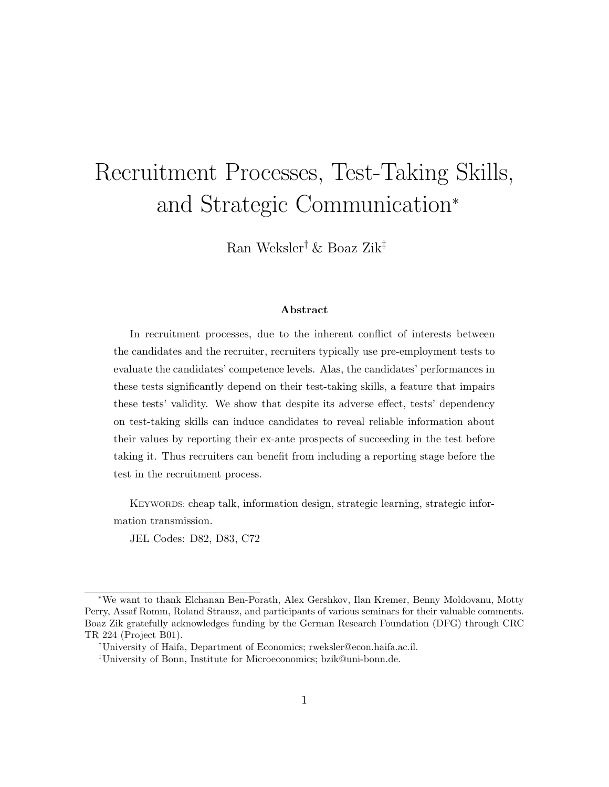# Recruitment Processes, Test-Taking Skills, and Strategic Communication<sup>∗</sup>

Ran Weksler† & Boaz Zik‡

#### Abstract

In recruitment processes, due to the inherent conflict of interests between the candidates and the recruiter, recruiters typically use pre-employment tests to evaluate the candidates' competence levels. Alas, the candidates' performances in these tests significantly depend on their test-taking skills, a feature that impairs these tests' validity. We show that despite its adverse effect, tests' dependency on test-taking skills can induce candidates to reveal reliable information about their values by reporting their ex-ante prospects of succeeding in the test before taking it. Thus recruiters can benefit from including a reporting stage before the test in the recruitment process.

KEYWORDS: cheap talk, information design, strategic learning, strategic information transmission.

JEL Codes: D82, D83, C72

<sup>∗</sup>We want to thank Elchanan Ben-Porath, Alex Gershkov, Ilan Kremer, Benny Moldovanu, Motty Perry, Assaf Romm, Roland Strausz, and participants of various seminars for their valuable comments. Boaz Zik gratefully acknowledges funding by the German Research Foundation (DFG) through CRC TR 224 (Project B01).

<sup>†</sup>University of Haifa, Department of Economics; rweksler@econ.haifa.ac.il.

<sup>‡</sup>University of Bonn, Institute for Microeconomics; bzik@uni-bonn.de.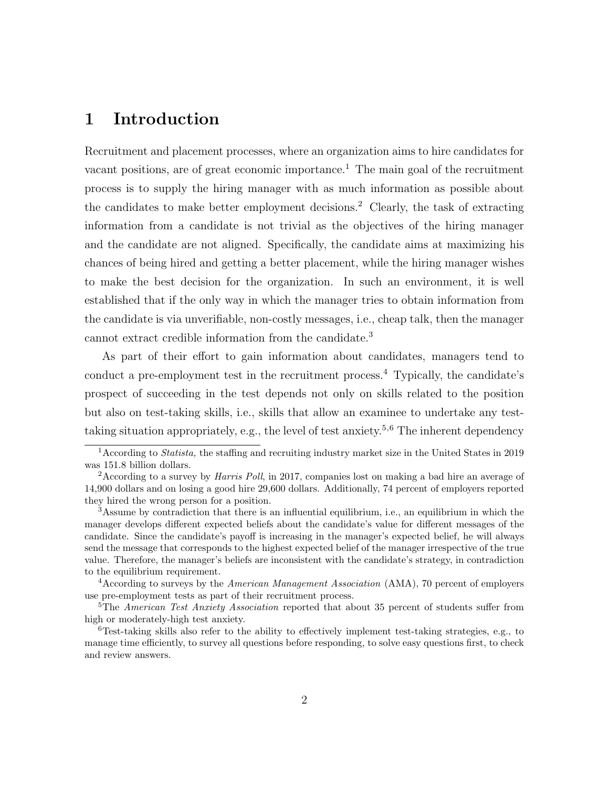# 1 Introduction

Recruitment and placement processes, where an organization aims to hire candidates for vacant positions, are of great economic importance.<sup>1</sup> The main goal of the recruitment process is to supply the hiring manager with as much information as possible about the candidates to make better employment decisions.<sup>2</sup> Clearly, the task of extracting information from a candidate is not trivial as the objectives of the hiring manager and the candidate are not aligned. Specifically, the candidate aims at maximizing his chances of being hired and getting a better placement, while the hiring manager wishes to make the best decision for the organization. In such an environment, it is well established that if the only way in which the manager tries to obtain information from the candidate is via unverifiable, non-costly messages, i.e., cheap talk, then the manager cannot extract credible information from the candidate.<sup>3</sup>

As part of their effort to gain information about candidates, managers tend to conduct a pre-employment test in the recruitment process.<sup>4</sup> Typically, the candidate's prospect of succeeding in the test depends not only on skills related to the position but also on test-taking skills, i.e., skills that allow an examinee to undertake any testtaking situation appropriately, e.g., the level of test anxiety.<sup>5,6</sup> The inherent dependency

 $4$ According to surveys by the *American Management Association* (AMA), 70 percent of employers use pre-employment tests as part of their recruitment process.

<sup>1</sup>According to Statista, the staffing and recruiting industry market size in the United States in 2019 was 151.8 billion dollars.

<sup>2</sup>According to a survey by Harris Poll, in 2017, companies lost on making a bad hire an average of 14,900 dollars and on losing a good hire 29,600 dollars. Additionally, 74 percent of employers reported they hired the wrong person for a position.

<sup>&</sup>lt;sup>3</sup>Assume by contradiction that there is an influential equilibrium, i.e., an equilibrium in which the manager develops different expected beliefs about the candidate's value for different messages of the candidate. Since the candidate's payoff is increasing in the manager's expected belief, he will always send the message that corresponds to the highest expected belief of the manager irrespective of the true value. Therefore, the manager's beliefs are inconsistent with the candidate's strategy, in contradiction to the equilibrium requirement.

<sup>&</sup>lt;sup>5</sup>The *American Test Anxiety Association* reported that about 35 percent of students suffer from high or moderately-high test anxiety.

 ${}^{6}$ Test-taking skills also refer to the ability to effectively implement test-taking strategies, e.g., to manage time efficiently, to survey all questions before responding, to solve easy questions first, to check and review answers.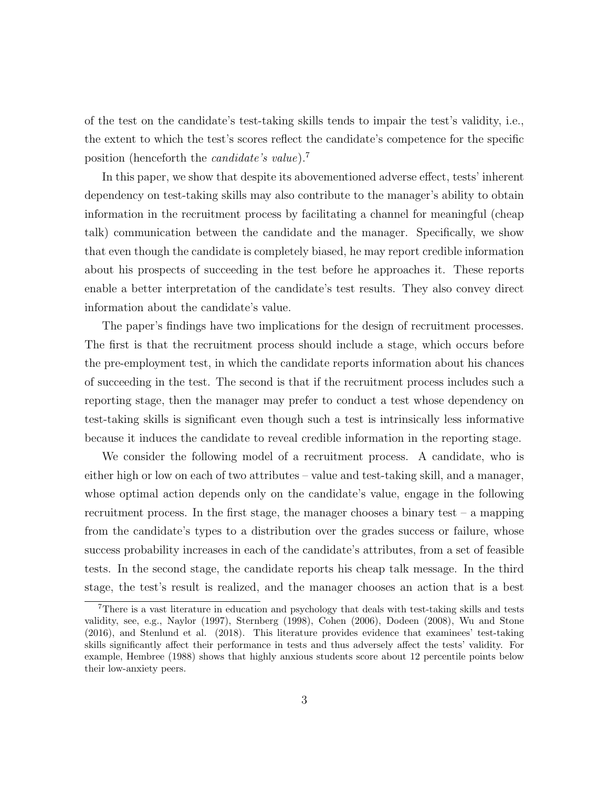of the test on the candidate's test-taking skills tends to impair the test's validity, i.e., the extent to which the test's scores reflect the candidate's competence for the specific position (henceforth the candidate's value).<sup>7</sup>

In this paper, we show that despite its abovementioned adverse effect, tests' inherent dependency on test-taking skills may also contribute to the manager's ability to obtain information in the recruitment process by facilitating a channel for meaningful (cheap talk) communication between the candidate and the manager. Specifically, we show that even though the candidate is completely biased, he may report credible information about his prospects of succeeding in the test before he approaches it. These reports enable a better interpretation of the candidate's test results. They also convey direct information about the candidate's value.

The paper's findings have two implications for the design of recruitment processes. The first is that the recruitment process should include a stage, which occurs before the pre-employment test, in which the candidate reports information about his chances of succeeding in the test. The second is that if the recruitment process includes such a reporting stage, then the manager may prefer to conduct a test whose dependency on test-taking skills is significant even though such a test is intrinsically less informative because it induces the candidate to reveal credible information in the reporting stage.

We consider the following model of a recruitment process. A candidate, who is either high or low on each of two attributes – value and test-taking skill, and a manager, whose optimal action depends only on the candidate's value, engage in the following recruitment process. In the first stage, the manager chooses a binary test – a mapping from the candidate's types to a distribution over the grades success or failure, whose success probability increases in each of the candidate's attributes, from a set of feasible tests. In the second stage, the candidate reports his cheap talk message. In the third stage, the test's result is realized, and the manager chooses an action that is a best

<sup>7</sup>There is a vast literature in education and psychology that deals with test-taking skills and tests validity, see, e.g., Naylor (1997), Sternberg (1998), Cohen (2006), Dodeen (2008), Wu and Stone (2016), and Stenlund et al. (2018). This literature provides evidence that examinees' test-taking skills significantly affect their performance in tests and thus adversely affect the tests' validity. For example, Hembree (1988) shows that highly anxious students score about 12 percentile points below their low-anxiety peers.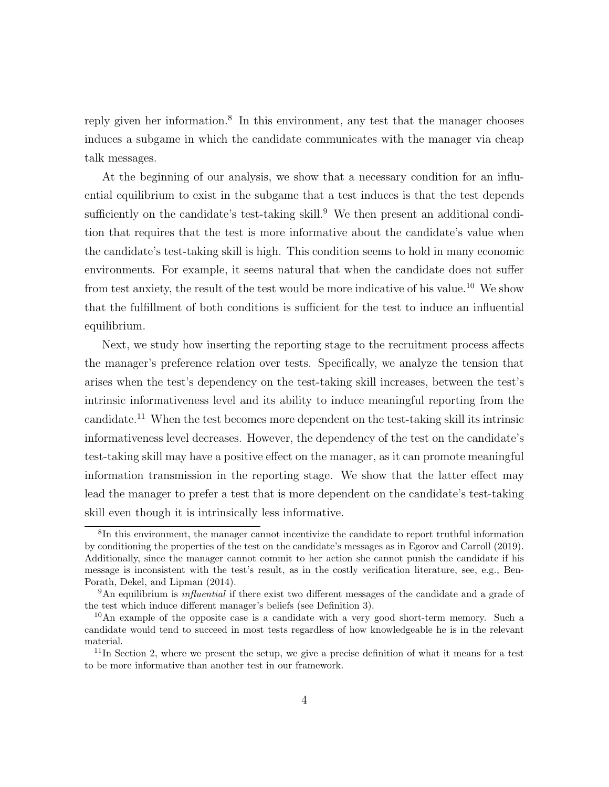reply given her information.<sup>8</sup> In this environment, any test that the manager chooses induces a subgame in which the candidate communicates with the manager via cheap talk messages.

At the beginning of our analysis, we show that a necessary condition for an influential equilibrium to exist in the subgame that a test induces is that the test depends sufficiently on the candidate's test-taking skill.<sup>9</sup> We then present an additional condition that requires that the test is more informative about the candidate's value when the candidate's test-taking skill is high. This condition seems to hold in many economic environments. For example, it seems natural that when the candidate does not suffer from test anxiety, the result of the test would be more indicative of his value.<sup>10</sup> We show that the fulfillment of both conditions is sufficient for the test to induce an influential equilibrium.

Next, we study how inserting the reporting stage to the recruitment process affects the manager's preference relation over tests. Specifically, we analyze the tension that arises when the test's dependency on the test-taking skill increases, between the test's intrinsic informativeness level and its ability to induce meaningful reporting from the candidate.<sup>11</sup> When the test becomes more dependent on the test-taking skill its intrinsic informativeness level decreases. However, the dependency of the test on the candidate's test-taking skill may have a positive effect on the manager, as it can promote meaningful information transmission in the reporting stage. We show that the latter effect may lead the manager to prefer a test that is more dependent on the candidate's test-taking skill even though it is intrinsically less informative.

<sup>&</sup>lt;sup>8</sup>In this environment, the manager cannot incentivize the candidate to report truthful information by conditioning the properties of the test on the candidate's messages as in Egorov and Carroll (2019). Additionally, since the manager cannot commit to her action she cannot punish the candidate if his message is inconsistent with the test's result, as in the costly verification literature, see, e.g., Ben-Porath, Dekel, and Lipman (2014).

 $9<sup>9</sup>$ An equilibrium is *influential* if there exist two different messages of the candidate and a grade of the test which induce different manager's beliefs (see Definition 3).

<sup>10</sup>An example of the opposite case is a candidate with a very good short-term memory. Such a candidate would tend to succeed in most tests regardless of how knowledgeable he is in the relevant material.

 $11$ In Section 2, where we present the setup, we give a precise definition of what it means for a test to be more informative than another test in our framework.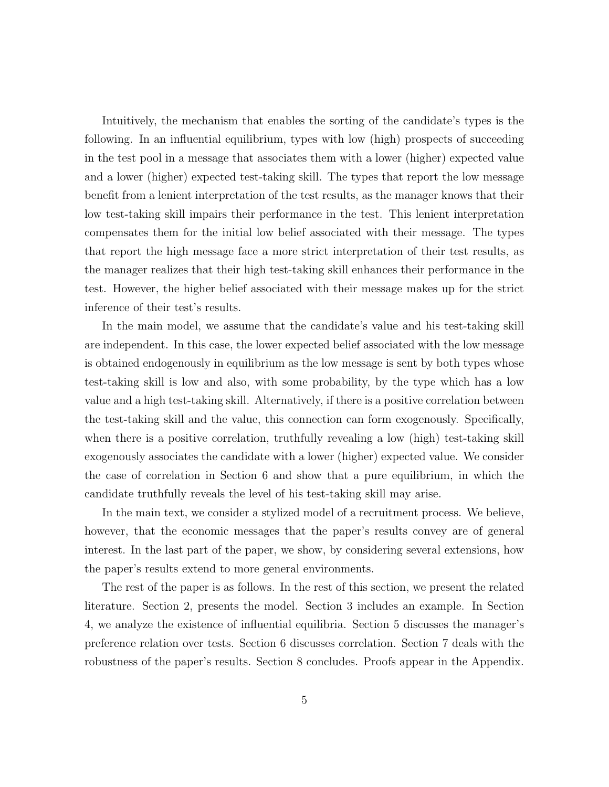Intuitively, the mechanism that enables the sorting of the candidate's types is the following. In an influential equilibrium, types with low (high) prospects of succeeding in the test pool in a message that associates them with a lower (higher) expected value and a lower (higher) expected test-taking skill. The types that report the low message benefit from a lenient interpretation of the test results, as the manager knows that their low test-taking skill impairs their performance in the test. This lenient interpretation compensates them for the initial low belief associated with their message. The types that report the high message face a more strict interpretation of their test results, as the manager realizes that their high test-taking skill enhances their performance in the test. However, the higher belief associated with their message makes up for the strict inference of their test's results.

In the main model, we assume that the candidate's value and his test-taking skill are independent. In this case, the lower expected belief associated with the low message is obtained endogenously in equilibrium as the low message is sent by both types whose test-taking skill is low and also, with some probability, by the type which has a low value and a high test-taking skill. Alternatively, if there is a positive correlation between the test-taking skill and the value, this connection can form exogenously. Specifically, when there is a positive correlation, truthfully revealing a low (high) test-taking skill exogenously associates the candidate with a lower (higher) expected value. We consider the case of correlation in Section 6 and show that a pure equilibrium, in which the candidate truthfully reveals the level of his test-taking skill may arise.

In the main text, we consider a stylized model of a recruitment process. We believe, however, that the economic messages that the paper's results convey are of general interest. In the last part of the paper, we show, by considering several extensions, how the paper's results extend to more general environments.

The rest of the paper is as follows. In the rest of this section, we present the related literature. Section 2, presents the model. Section 3 includes an example. In Section 4, we analyze the existence of influential equilibria. Section 5 discusses the manager's preference relation over tests. Section 6 discusses correlation. Section 7 deals with the robustness of the paper's results. Section 8 concludes. Proofs appear in the Appendix.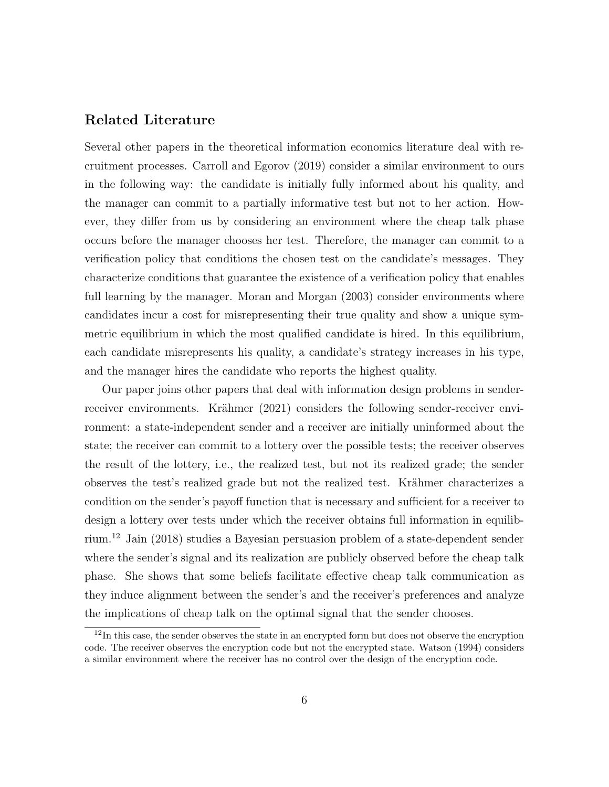### Related Literature

Several other papers in the theoretical information economics literature deal with recruitment processes. Carroll and Egorov (2019) consider a similar environment to ours in the following way: the candidate is initially fully informed about his quality, and the manager can commit to a partially informative test but not to her action. However, they differ from us by considering an environment where the cheap talk phase occurs before the manager chooses her test. Therefore, the manager can commit to a verification policy that conditions the chosen test on the candidate's messages. They characterize conditions that guarantee the existence of a verification policy that enables full learning by the manager. Moran and Morgan (2003) consider environments where candidates incur a cost for misrepresenting their true quality and show a unique symmetric equilibrium in which the most qualified candidate is hired. In this equilibrium, each candidate misrepresents his quality, a candidate's strategy increases in his type, and the manager hires the candidate who reports the highest quality.

Our paper joins other papers that deal with information design problems in senderreceiver environments. Krähmer (2021) considers the following sender-receiver environment: a state-independent sender and a receiver are initially uninformed about the state; the receiver can commit to a lottery over the possible tests; the receiver observes the result of the lottery, i.e., the realized test, but not its realized grade; the sender observes the test's realized grade but not the realized test. Krähmer characterizes a condition on the sender's payoff function that is necessary and sufficient for a receiver to design a lottery over tests under which the receiver obtains full information in equilibrium.<sup>12</sup> Jain (2018) studies a Bayesian persuasion problem of a state-dependent sender where the sender's signal and its realization are publicly observed before the cheap talk phase. She shows that some beliefs facilitate effective cheap talk communication as they induce alignment between the sender's and the receiver's preferences and analyze the implications of cheap talk on the optimal signal that the sender chooses.

 $12$ In this case, the sender observes the state in an encrypted form but does not observe the encryption code. The receiver observes the encryption code but not the encrypted state. Watson (1994) considers a similar environment where the receiver has no control over the design of the encryption code.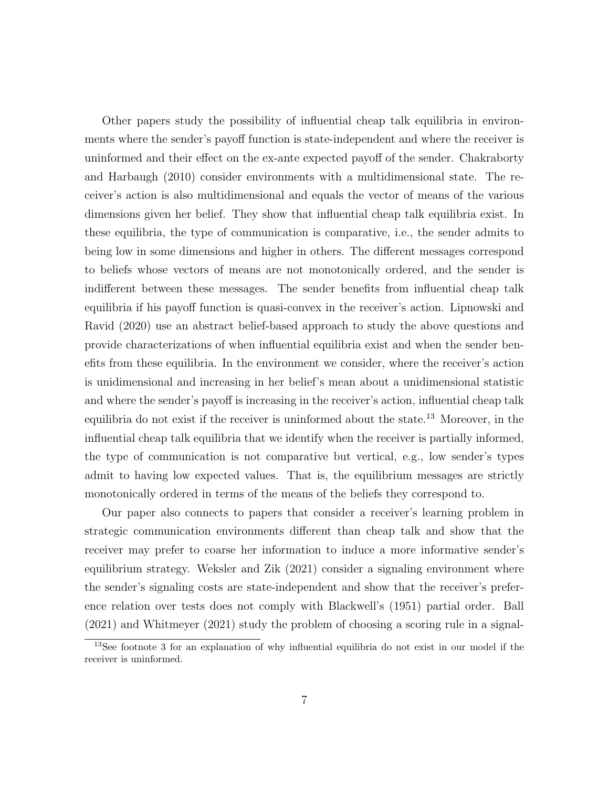Other papers study the possibility of influential cheap talk equilibria in environments where the sender's payoff function is state-independent and where the receiver is uninformed and their effect on the ex-ante expected payoff of the sender. Chakraborty and Harbaugh (2010) consider environments with a multidimensional state. The receiver's action is also multidimensional and equals the vector of means of the various dimensions given her belief. They show that influential cheap talk equilibria exist. In these equilibria, the type of communication is comparative, i.e., the sender admits to being low in some dimensions and higher in others. The different messages correspond to beliefs whose vectors of means are not monotonically ordered, and the sender is indifferent between these messages. The sender benefits from influential cheap talk equilibria if his payoff function is quasi-convex in the receiver's action. Lipnowski and Ravid (2020) use an abstract belief-based approach to study the above questions and provide characterizations of when influential equilibria exist and when the sender benefits from these equilibria. In the environment we consider, where the receiver's action is unidimensional and increasing in her belief's mean about a unidimensional statistic and where the sender's payoff is increasing in the receiver's action, influential cheap talk equilibria do not exist if the receiver is uninformed about the state.<sup>13</sup> Moreover, in the influential cheap talk equilibria that we identify when the receiver is partially informed, the type of communication is not comparative but vertical, e.g., low sender's types admit to having low expected values. That is, the equilibrium messages are strictly monotonically ordered in terms of the means of the beliefs they correspond to.

Our paper also connects to papers that consider a receiver's learning problem in strategic communication environments different than cheap talk and show that the receiver may prefer to coarse her information to induce a more informative sender's equilibrium strategy. Weksler and Zik (2021) consider a signaling environment where the sender's signaling costs are state-independent and show that the receiver's preference relation over tests does not comply with Blackwell's (1951) partial order. Ball (2021) and Whitmeyer (2021) study the problem of choosing a scoring rule in a signal-

<sup>13</sup>See footnote 3 for an explanation of why influential equilibria do not exist in our model if the receiver is uninformed.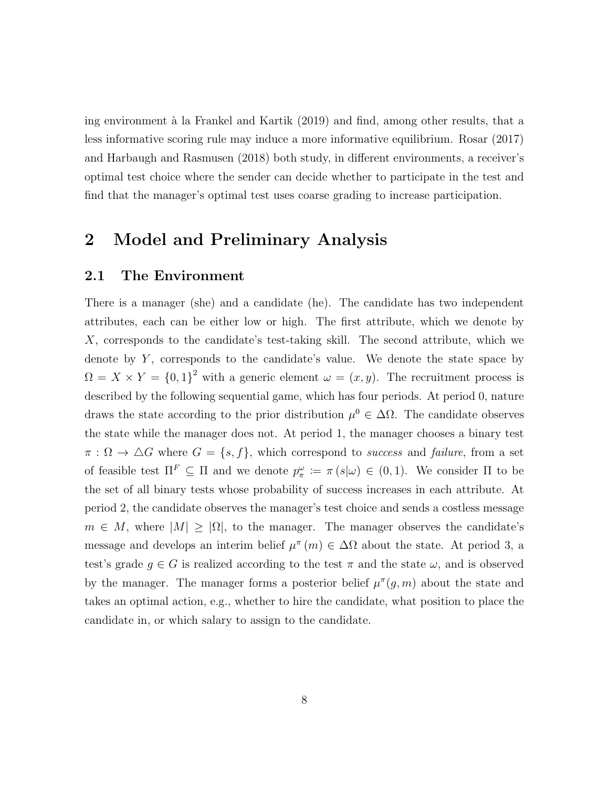ing environment à la Frankel and Kartik (2019) and find, among other results, that a less informative scoring rule may induce a more informative equilibrium. Rosar (2017) and Harbaugh and Rasmusen (2018) both study, in different environments, a receiver's optimal test choice where the sender can decide whether to participate in the test and find that the manager's optimal test uses coarse grading to increase participation.

# 2 Model and Preliminary Analysis

### 2.1 The Environment

There is a manager (she) and a candidate (he). The candidate has two independent attributes, each can be either low or high. The first attribute, which we denote by X, corresponds to the candidate's test-taking skill. The second attribute, which we denote by  $Y$ , corresponds to the candidate's value. We denote the state space by  $\Omega = X \times Y = \{0,1\}^2$  with a generic element  $\omega = (x, y)$ . The recruitment process is described by the following sequential game, which has four periods. At period 0, nature draws the state according to the prior distribution  $\mu^0 \in \Delta\Omega$ . The candidate observes the state while the manager does not. At period 1, the manager chooses a binary test  $\pi : \Omega \to \Delta G$  where  $G = \{s, f\}$ , which correspond to success and failure, from a set of feasible test  $\Pi^F \subseteq \Pi$  and we denote  $p_{\pi}^{\omega} := \pi(s|\omega) \in (0,1)$ . We consider  $\Pi$  to be the set of all binary tests whose probability of success increases in each attribute. At period 2, the candidate observes the manager's test choice and sends a costless message  $m \in M$ , where  $|M| \geq |\Omega|$ , to the manager. The manager observes the candidate's message and develops an interim belief  $\mu^{\pi}(m) \in \Delta\Omega$  about the state. At period 3, a test's grade  $g \in G$  is realized according to the test  $\pi$  and the state  $\omega$ , and is observed by the manager. The manager forms a posterior belief  $\mu^{\pi}(g, m)$  about the state and takes an optimal action, e.g., whether to hire the candidate, what position to place the candidate in, or which salary to assign to the candidate.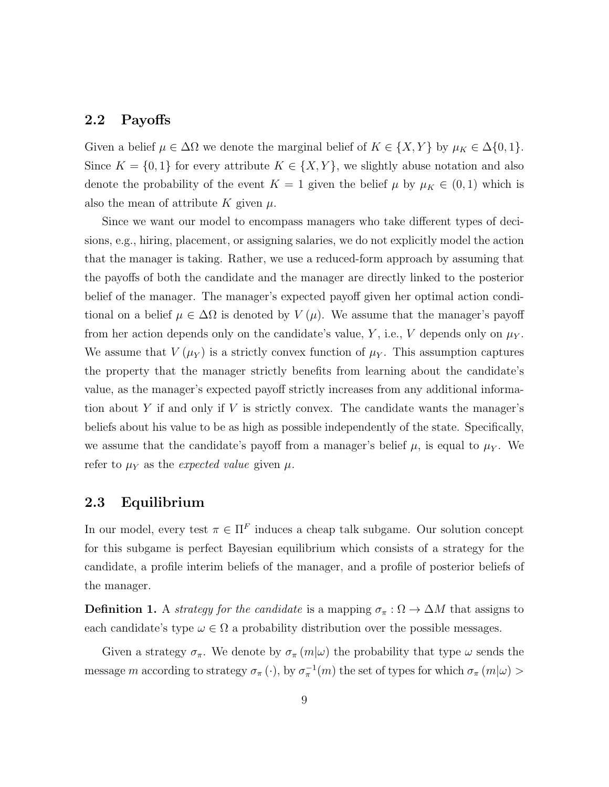### 2.2 Payoffs

Given a belief  $\mu \in \Delta\Omega$  we denote the marginal belief of  $K \in \{X, Y\}$  by  $\mu_K \in \Delta\{0, 1\}$ . Since  $K = \{0, 1\}$  for every attribute  $K \in \{X, Y\}$ , we slightly abuse notation and also denote the probability of the event  $K = 1$  given the belief  $\mu$  by  $\mu_K \in (0, 1)$  which is also the mean of attribute K given  $\mu$ .

Since we want our model to encompass managers who take different types of decisions, e.g., hiring, placement, or assigning salaries, we do not explicitly model the action that the manager is taking. Rather, we use a reduced-form approach by assuming that the payoffs of both the candidate and the manager are directly linked to the posterior belief of the manager. The manager's expected payoff given her optimal action conditional on a belief  $\mu \in \Delta\Omega$  is denoted by  $V(\mu)$ . We assume that the manager's payoff from her action depends only on the candidate's value, Y, i.e., V depends only on  $\mu_Y$ . We assume that  $V(\mu_Y)$  is a strictly convex function of  $\mu_Y$ . This assumption captures the property that the manager strictly benefits from learning about the candidate's value, as the manager's expected payoff strictly increases from any additional information about  $Y$  if and only if  $V$  is strictly convex. The candidate wants the manager's beliefs about his value to be as high as possible independently of the state. Specifically, we assume that the candidate's payoff from a manager's belief  $\mu$ , is equal to  $\mu_Y$ . We refer to  $\mu_Y$  as the expected value given  $\mu$ .

#### 2.3 Equilibrium

In our model, every test  $\pi \in \Pi^F$  induces a cheap talk subgame. Our solution concept for this subgame is perfect Bayesian equilibrium which consists of a strategy for the candidate, a profile interim beliefs of the manager, and a profile of posterior beliefs of the manager.

**Definition 1.** A *strategy for the candidate* is a mapping  $\sigma_{\pi} : \Omega \to \Delta M$  that assigns to each candidate's type  $\omega \in \Omega$  a probability distribution over the possible messages.

Given a strategy  $\sigma_{\pi}$ . We denote by  $\sigma_{\pi}(m|\omega)$  the probability that type  $\omega$  sends the message m according to strategy  $\sigma_{\pi}(\cdot)$ , by  $\sigma_{\pi}^{-1}(m)$  the set of types for which  $\sigma_{\pi}(m|\omega)$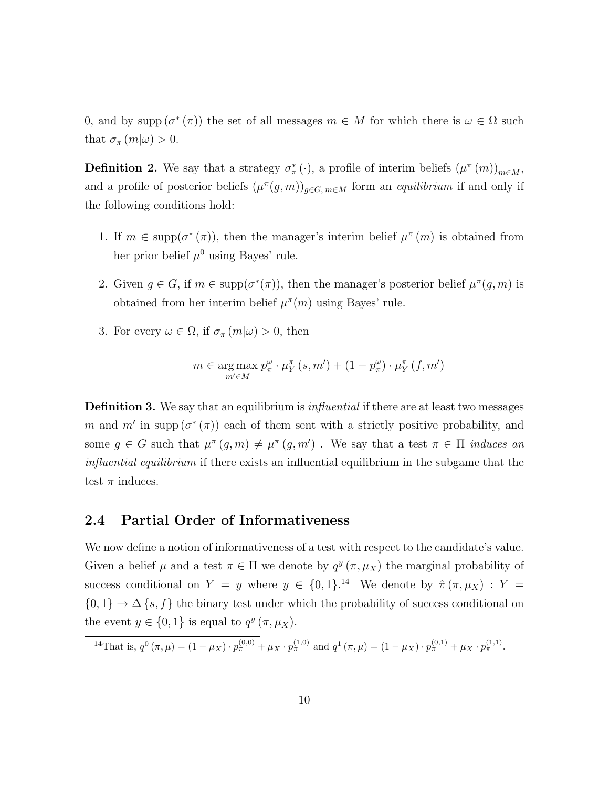0, and by supp  $(\sigma^*(\pi))$  the set of all messages  $m \in M$  for which there is  $\omega \in \Omega$  such that  $\sigma_{\pi}(m|\omega) > 0$ .

**Definition 2.** We say that a strategy  $\sigma^*_{\pi}(\cdot)$ , a profile of interim beliefs  $(\mu^{\pi}(m))_{m\in M}$ , and a profile of posterior beliefs  $(\mu^{\pi}(g, m))_{g \in G, m \in M}$  form an *equilibrium* if and only if the following conditions hold:

- 1. If  $m \in \text{supp}(\sigma^*(\pi))$ , then the manager's interim belief  $\mu^{\pi}(m)$  is obtained from her prior belief  $\mu^0$  using Bayes' rule.
- 2. Given  $g \in G$ , if  $m \in \text{supp}(\sigma^*(\pi))$ , then the manager's posterior belief  $\mu^{\pi}(g, m)$  is obtained from her interim belief  $\mu^{\pi}(m)$  using Bayes' rule.
- 3. For every  $\omega \in \Omega$ , if  $\sigma_{\pi}(m|\omega) > 0$ , then

$$
m \in \underset{m' \in M}{\arg \max} p_{\pi}^{\omega} \cdot \mu_{Y}^{\pi}(s, m') + (1 - p_{\pi}^{\omega}) \cdot \mu_{Y}^{\pi}(f, m')
$$

**Definition 3.** We say that an equilibrium is *influential* if there are at least two messages m and m' in supp  $(\sigma^*(\pi))$  each of them sent with a strictly positive probability, and some  $g \in G$  such that  $\mu^{\pi}(g, m) \neq \mu^{\pi}(g, m')$ . We say that a test  $\pi \in \Pi$  *induces an* influential equilibrium if there exists an influential equilibrium in the subgame that the test  $\pi$  induces.

#### 2.4 Partial Order of Informativeness

We now define a notion of informativeness of a test with respect to the candidate's value. Given a belief  $\mu$  and a test  $\pi \in \Pi$  we denote by  $q^y(\pi, \mu_X)$  the marginal probability of success conditional on  $Y = y$  where  $y \in \{0,1\}$ .<sup>14</sup> We denote by  $\hat{\pi}(\pi,\mu_X) : Y =$  ${0, 1} \rightarrow \Delta \{s, f\}$  the binary test under which the probability of success conditional on the event  $y \in \{0, 1\}$  is equal to  $q^y(\pi, \mu_X)$ .

$$
{}^{14}\text{That is, } q^{0} \left( \pi, \mu \right) = (1 - \mu_X) \cdot p_{\pi}^{(0,0)} + \mu_X \cdot p_{\pi}^{(1,0)} \text{ and } q^{1} \left( \pi, \mu \right) = (1 - \mu_X) \cdot p_{\pi}^{(0,1)} + \mu_X \cdot p_{\pi}^{(1,1)}.
$$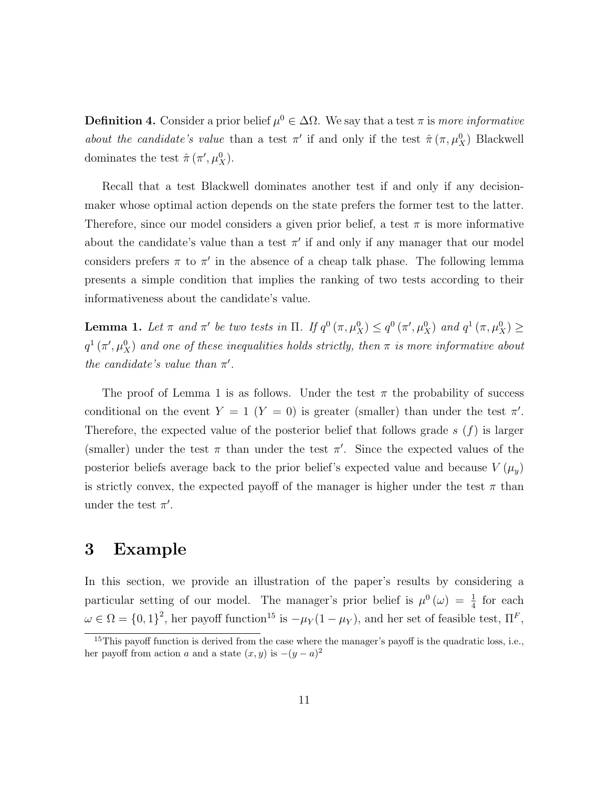**Definition 4.** Consider a prior belief  $\mu^0 \in \Delta\Omega$ . We say that a test  $\pi$  is more informative about the candidate's value than a test  $\pi'$  if and only if the test  $\hat{\pi}(\pi,\mu_X^0)$  Blackwell dominates the test  $\hat{\pi}(\pi', \mu_X^0)$ .

Recall that a test Blackwell dominates another test if and only if any decisionmaker whose optimal action depends on the state prefers the former test to the latter. Therefore, since our model considers a given prior belief, a test  $\pi$  is more informative about the candidate's value than a test  $\pi'$  if and only if any manager that our model considers prefers  $\pi$  to  $\pi'$  in the absence of a cheap talk phase. The following lemma presents a simple condition that implies the ranking of two tests according to their informativeness about the candidate's value.

**Lemma 1.** Let  $\pi$  and  $\pi'$  be two tests in  $\Pi$ . If  $q^0(\pi, \mu_X^0) \leq q^0(\pi', \mu_X^0)$  and  $q^1(\pi, \mu_X^0) \geq$  $q^{1}\left(\pi',\mu_{X}^{0}\right)$  and one of these inequalities holds strictly, then  $\pi$  is more informative about the candidate's value than  $\pi'$ .

The proof of Lemma 1 is as follows. Under the test  $\pi$  the probability of success conditional on the event  $Y = 1$   $(Y = 0)$  is greater (smaller) than under the test  $\pi'$ . Therefore, the expected value of the posterior belief that follows grade  $s(f)$  is larger (smaller) under the test  $\pi$  than under the test  $\pi'$ . Since the expected values of the posterior beliefs average back to the prior belief's expected value and because  $V(\mu_y)$ is strictly convex, the expected payoff of the manager is higher under the test  $\pi$  than under the test  $\pi'$ .

### 3 Example

In this section, we provide an illustration of the paper's results by considering a particular setting of our model. The manager's prior belief is  $\mu^0(\omega) = \frac{1}{4}$  for each  $\omega \in \Omega = \{0,1\}^2$ , her payoff function<sup>15</sup> is  $-\mu_Y(1-\mu_Y)$ , and her set of feasible test,  $\Pi^F$ ,

 $15$ This payoff function is derived from the case where the manager's payoff is the quadratic loss, i.e., her payoff from action a and a state  $(x, y)$  is  $-(y - a)^2$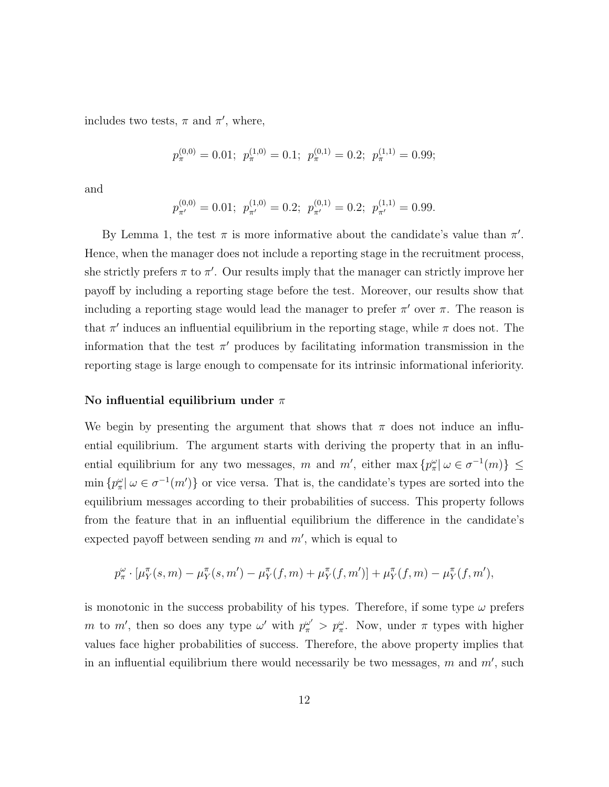includes two tests,  $\pi$  and  $\pi'$ , where,

$$
p_{\pi}^{(0,0)} = 0.01; \ p_{\pi}^{(1,0)} = 0.1; \ p_{\pi}^{(0,1)} = 0.2; \ p_{\pi}^{(1,1)} = 0.99;
$$

and

$$
p_{\pi'}^{(0,0)} = 0.01; \ p_{\pi'}^{(1,0)} = 0.2; \ p_{\pi'}^{(0,1)} = 0.2; \ p_{\pi'}^{(1,1)} = 0.99.
$$

By Lemma 1, the test  $\pi$  is more informative about the candidate's value than  $\pi'$ . Hence, when the manager does not include a reporting stage in the recruitment process, she strictly prefers  $\pi$  to  $\pi'$ . Our results imply that the manager can strictly improve her payoff by including a reporting stage before the test. Moreover, our results show that including a reporting stage would lead the manager to prefer  $\pi'$  over  $\pi$ . The reason is that  $\pi'$  induces an influential equilibrium in the reporting stage, while  $\pi$  does not. The information that the test  $\pi'$  produces by facilitating information transmission in the reporting stage is large enough to compensate for its intrinsic informational inferiority.

#### No influential equilibrium under  $\pi$

We begin by presenting the argument that shows that  $\pi$  does not induce an influential equilibrium. The argument starts with deriving the property that in an influential equilibrium for any two messages, m and m', either max  $\{p_{\pi}^{\omega} | \omega \in \sigma^{-1}(m)\}\leq$  $\min \{ p^{\omega}_{\pi} | \omega \in \sigma^{-1}(m') \}$  or vice versa. That is, the candidate's types are sorted into the equilibrium messages according to their probabilities of success. This property follows from the feature that in an influential equilibrium the difference in the candidate's expected payoff between sending  $m$  and  $m'$ , which is equal to

$$
p_{\pi}^{\omega} \cdot [\mu_Y^{\pi}(s, m) - \mu_Y^{\pi}(s, m') - \mu_Y^{\pi}(f, m) + \mu_Y^{\pi}(f, m')] + \mu_Y^{\pi}(f, m) - \mu_Y^{\pi}(f, m'),
$$

is monotonic in the success probability of his types. Therefore, if some type  $\omega$  prefers m to m', then so does any type  $\omega'$  with  $p_{\pi}^{\omega'} > p_{\pi}^{\omega}$ . Now, under  $\pi$  types with higher values face higher probabilities of success. Therefore, the above property implies that in an influential equilibrium there would necessarily be two messages,  $m$  and  $m'$ , such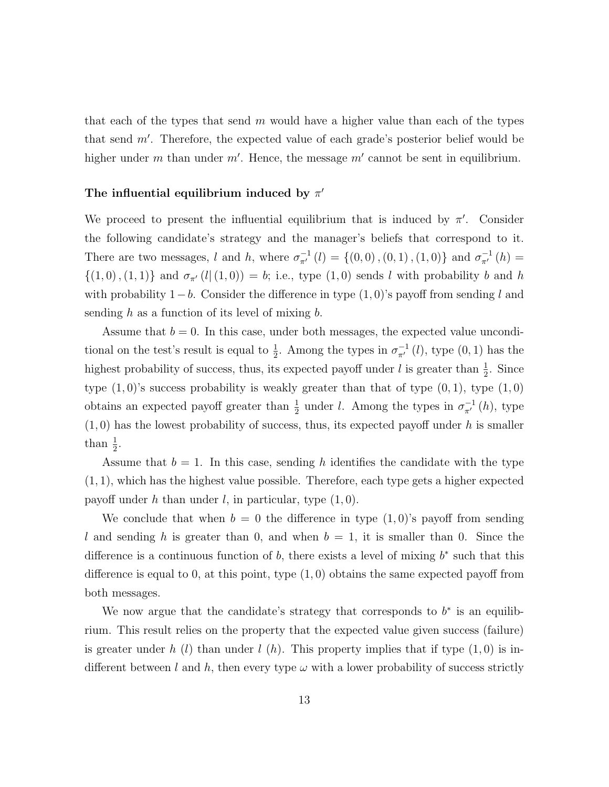that each of the types that send  $m$  would have a higher value than each of the types that send  $m'$ . Therefore, the expected value of each grade's posterior belief would be higher under m than under  $m'$ . Hence, the message  $m'$  cannot be sent in equilibrium.

### The influential equilibrium induced by  $\pi'$

We proceed to present the influential equilibrium that is induced by  $\pi'$ . Consider the following candidate's strategy and the manager's beliefs that correspond to it. There are two messages, l and h, where  $\sigma_{\pi'}^{-1}(l) = \{(0,0), (0,1), (1,0)\}$  and  $\sigma_{\pi'}^{-1}(h) =$  $\{(1,0), (1, 1)\}\$ and  $\sigma_{\pi'}(l|(1, 0)) = b$ ; i.e., type  $(1, 0)$  sends l with probability b and h with probability  $1-b$ . Consider the difference in type  $(1,0)$ 's payoff from sending l and sending  $h$  as a function of its level of mixing  $b$ .

Assume that  $b = 0$ . In this case, under both messages, the expected value unconditional on the test's result is equal to  $\frac{1}{2}$ . Among the types in  $\sigma_{\pi'}^{-1}(l)$ , type  $(0, 1)$  has the highest probability of success, thus, its expected payoff under l is greater than  $\frac{1}{2}$ . Since type  $(1,0)$ 's success probability is weakly greater than that of type  $(0,1)$ , type  $(1,0)$ obtains an expected payoff greater than  $\frac{1}{2}$  under l. Among the types in  $\sigma_{\pi'}^{-1}(h)$ , type  $(1, 0)$  has the lowest probability of success, thus, its expected payoff under h is smaller than  $\frac{1}{2}$ .

Assume that  $b = 1$ . In this case, sending h identifies the candidate with the type  $(1, 1)$ , which has the highest value possible. Therefore, each type gets a higher expected payoff under h than under l, in particular, type  $(1, 0)$ .

We conclude that when  $b = 0$  the difference in type  $(1,0)$ 's payoff from sending l and sending h is greater than 0, and when  $b = 1$ , it is smaller than 0. Since the difference is a continuous function of  $b$ , there exists a level of mixing  $b^*$  such that this difference is equal to 0, at this point, type  $(1,0)$  obtains the same expected payoff from both messages.

We now argue that the candidate's strategy that corresponds to  $b^*$  is an equilibrium. This result relies on the property that the expected value given success (failure) is greater under h (l) than under l (h). This property implies that if type  $(1,0)$  is indifferent between l and h, then every type  $\omega$  with a lower probability of success strictly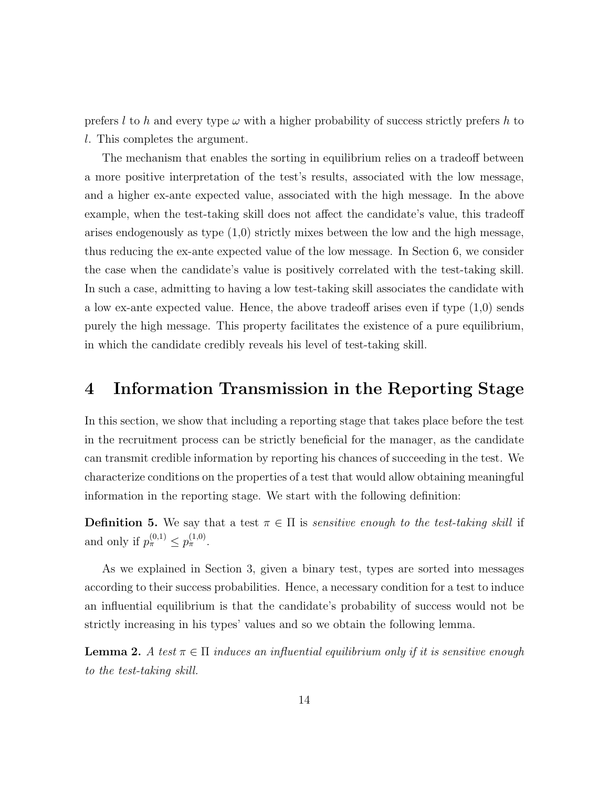prefers l to h and every type  $\omega$  with a higher probability of success strictly prefers h to l. This completes the argument.

The mechanism that enables the sorting in equilibrium relies on a tradeoff between a more positive interpretation of the test's results, associated with the low message, and a higher ex-ante expected value, associated with the high message. In the above example, when the test-taking skill does not affect the candidate's value, this tradeoff arises endogenously as type  $(1,0)$  strictly mixes between the low and the high message, thus reducing the ex-ante expected value of the low message. In Section 6, we consider the case when the candidate's value is positively correlated with the test-taking skill. In such a case, admitting to having a low test-taking skill associates the candidate with a low ex-ante expected value. Hence, the above tradeoff arises even if type (1,0) sends purely the high message. This property facilitates the existence of a pure equilibrium, in which the candidate credibly reveals his level of test-taking skill.

# 4 Information Transmission in the Reporting Stage

In this section, we show that including a reporting stage that takes place before the test in the recruitment process can be strictly beneficial for the manager, as the candidate can transmit credible information by reporting his chances of succeeding in the test. We characterize conditions on the properties of a test that would allow obtaining meaningful information in the reporting stage. We start with the following definition:

**Definition 5.** We say that a test  $\pi \in \Pi$  is *sensitive enough to the test-taking skill* if and only if  $p_{\pi}^{(0,1)} \leq p_{\pi}^{(1,0)}$ .

As we explained in Section 3, given a binary test, types are sorted into messages according to their success probabilities. Hence, a necessary condition for a test to induce an influential equilibrium is that the candidate's probability of success would not be strictly increasing in his types' values and so we obtain the following lemma.

**Lemma 2.** A test  $\pi \in \Pi$  induces an influential equilibrium only if it is sensitive enough to the test-taking skill.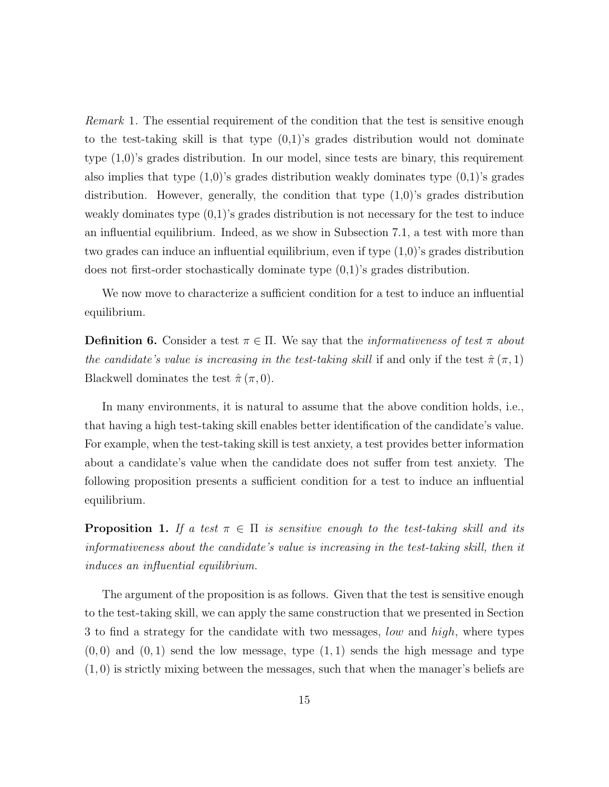Remark 1. The essential requirement of the condition that the test is sensitive enough to the test-taking skill is that type  $(0,1)$ 's grades distribution would not dominate type (1,0)'s grades distribution. In our model, since tests are binary, this requirement also implies that type  $(1,0)$ 's grades distribution weakly dominates type  $(0,1)$ 's grades distribution. However, generally, the condition that type  $(1,0)$ 's grades distribution weakly dominates type  $(0,1)$ 's grades distribution is not necessary for the test to induce an influential equilibrium. Indeed, as we show in Subsection 7.1, a test with more than two grades can induce an influential equilibrium, even if type (1,0)'s grades distribution does not first-order stochastically dominate type (0,1)'s grades distribution.

We now move to characterize a sufficient condition for a test to induce an influential equilibrium.

**Definition 6.** Consider a test  $\pi \in \Pi$ . We say that the *informativeness of test*  $\pi$  *about* the candidate's value is increasing in the test-taking skill if and only if the test  $\hat{\pi}(\pi,1)$ Blackwell dominates the test  $\hat{\pi}(\pi,0)$ .

In many environments, it is natural to assume that the above condition holds, i.e., that having a high test-taking skill enables better identification of the candidate's value. For example, when the test-taking skill is test anxiety, a test provides better information about a candidate's value when the candidate does not suffer from test anxiety. The following proposition presents a sufficient condition for a test to induce an influential equilibrium.

**Proposition 1.** If a test  $\pi \in \Pi$  is sensitive enough to the test-taking skill and its informativeness about the candidate's value is increasing in the test-taking skill, then it induces an influential equilibrium.

The argument of the proposition is as follows. Given that the test is sensitive enough to the test-taking skill, we can apply the same construction that we presented in Section 3 to find a strategy for the candidate with two messages, low and high, where types  $(0,0)$  and  $(0,1)$  send the low message, type  $(1,1)$  sends the high message and type  $(1,0)$  is strictly mixing between the messages, such that when the manager's beliefs are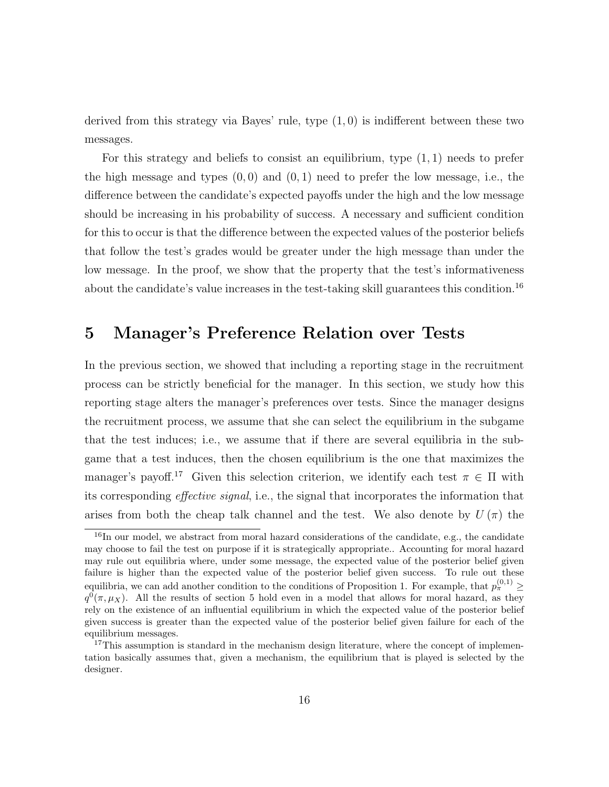derived from this strategy via Bayes' rule, type (1, 0) is indifferent between these two messages.

For this strategy and beliefs to consist an equilibrium, type  $(1, 1)$  needs to prefer the high message and types  $(0,0)$  and  $(0,1)$  need to prefer the low message, i.e., the difference between the candidate's expected payoffs under the high and the low message should be increasing in his probability of success. A necessary and sufficient condition for this to occur is that the difference between the expected values of the posterior beliefs that follow the test's grades would be greater under the high message than under the low message. In the proof, we show that the property that the test's informativeness about the candidate's value increases in the test-taking skill guarantees this condition.<sup>16</sup>

## 5 Manager's Preference Relation over Tests

In the previous section, we showed that including a reporting stage in the recruitment process can be strictly beneficial for the manager. In this section, we study how this reporting stage alters the manager's preferences over tests. Since the manager designs the recruitment process, we assume that she can select the equilibrium in the subgame that the test induces; i.e., we assume that if there are several equilibria in the subgame that a test induces, then the chosen equilibrium is the one that maximizes the manager's payoff.<sup>17</sup> Given this selection criterion, we identify each test  $\pi \in \Pi$  with its corresponding effective signal, i.e., the signal that incorporates the information that arises from both the cheap talk channel and the test. We also denote by  $U(\pi)$  the

<sup>&</sup>lt;sup>16</sup>In our model, we abstract from moral hazard considerations of the candidate, e.g., the candidate may choose to fail the test on purpose if it is strategically appropriate.. Accounting for moral hazard may rule out equilibria where, under some message, the expected value of the posterior belief given failure is higher than the expected value of the posterior belief given success. To rule out these equilibria, we can add another condition to the conditions of Proposition 1. For example, that  $p_{\pi}^{(0,1)} \geq$  $q^{0}(\pi,\mu_{X})$ . All the results of section 5 hold even in a model that allows for moral hazard, as they rely on the existence of an influential equilibrium in which the expected value of the posterior belief given success is greater than the expected value of the posterior belief given failure for each of the equilibrium messages.

<sup>&</sup>lt;sup>17</sup>This assumption is standard in the mechanism design literature, where the concept of implementation basically assumes that, given a mechanism, the equilibrium that is played is selected by the designer.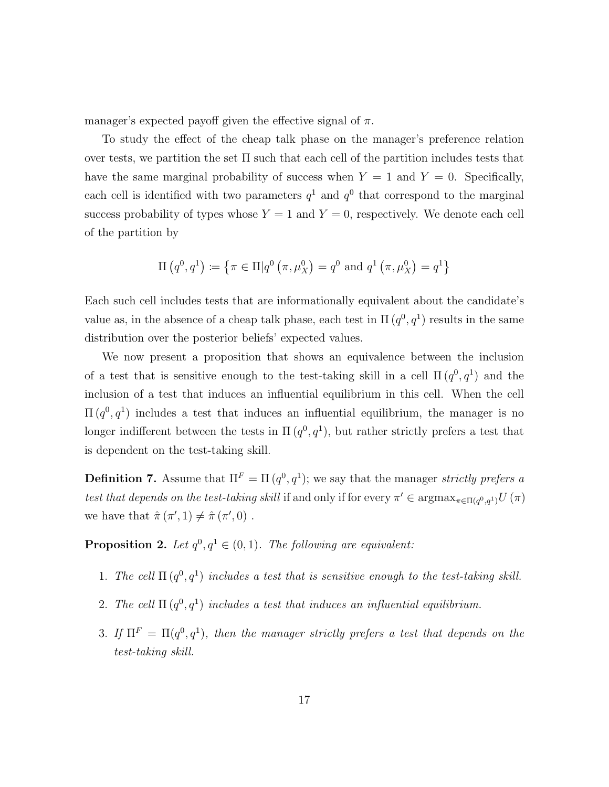manager's expected payoff given the effective signal of  $\pi$ .

To study the effect of the cheap talk phase on the manager's preference relation over tests, we partition the set Π such that each cell of the partition includes tests that have the same marginal probability of success when  $Y = 1$  and  $Y = 0$ . Specifically, each cell is identified with two parameters  $q<sup>1</sup>$  and  $q<sup>0</sup>$  that correspond to the marginal success probability of types whose  $Y = 1$  and  $Y = 0$ , respectively. We denote each cell of the partition by

$$
\Pi\left(q^{0}, q^{1}\right) \coloneqq \left\{\pi \in \Pi | q^{0}\left(\pi, \mu_{X}^{0}\right) = q^{0} \text{ and } q^{1}\left(\pi, \mu_{X}^{0}\right) = q^{1}\right\}
$$

Each such cell includes tests that are informationally equivalent about the candidate's value as, in the absence of a cheap talk phase, each test in  $\Pi(q^0, q^1)$  results in the same distribution over the posterior beliefs' expected values.

We now present a proposition that shows an equivalence between the inclusion of a test that is sensitive enough to the test-taking skill in a cell  $\Pi(q^0, q^1)$  and the inclusion of a test that induces an influential equilibrium in this cell. When the cell  $\Pi(q^0, q^1)$  includes a test that induces an influential equilibrium, the manager is no longer indifferent between the tests in  $\Pi(q^0, q^1)$ , but rather strictly prefers a test that is dependent on the test-taking skill.

**Definition 7.** Assume that  $\Pi^F = \Pi(q^0, q^1)$ ; we say that the manager *strictly prefers a* test that depends on the test-taking skill if and only if for every  $\pi' \in \text{argmax}_{\pi \in \Pi(q^0, q^1)} U(\pi)$ we have that  $\hat{\pi}(\pi', 1) \neq \hat{\pi}(\pi', 0)$ .

**Proposition 2.** Let  $q^0, q^1 \in (0, 1)$ . The following are equivalent:

- 1. The cell  $\Pi(q^0, q^1)$  includes a test that is sensitive enough to the test-taking skill.
- 2. The cell  $\Pi(q^0, q^1)$  includes a test that induces an influential equilibrium.
- 3. If  $\Pi^F = \Pi(q^0, q^1)$ , then the manager strictly prefers a test that depends on the test-taking skill.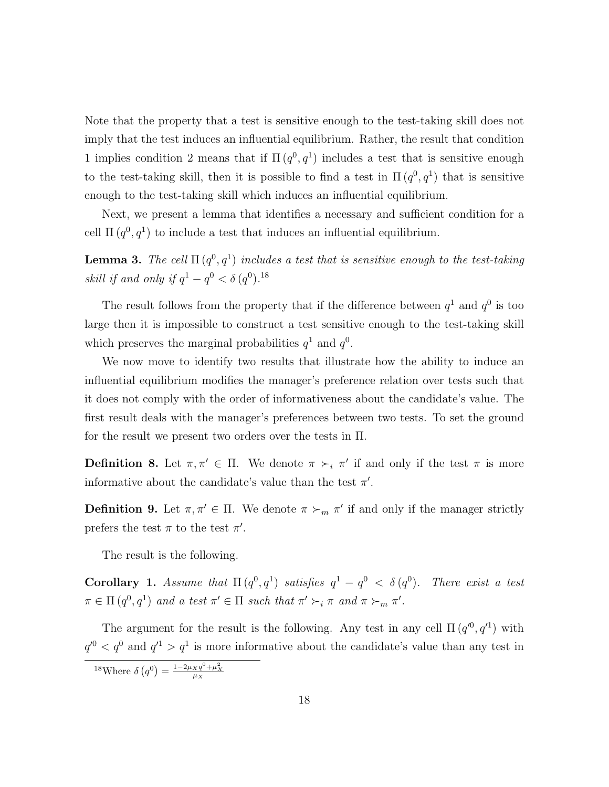Note that the property that a test is sensitive enough to the test-taking skill does not imply that the test induces an influential equilibrium. Rather, the result that condition 1 implies condition 2 means that if  $\Pi(q^0, q^1)$  includes a test that is sensitive enough to the test-taking skill, then it is possible to find a test in  $\Pi(q^0, q^1)$  that is sensitive enough to the test-taking skill which induces an influential equilibrium.

Next, we present a lemma that identifies a necessary and sufficient condition for a cell  $\Pi(q^0, q^1)$  to include a test that induces an influential equilibrium.

**Lemma 3.** The cell  $\Pi(q^0, q^1)$  includes a test that is sensitive enough to the test-taking skill if and only if  $q^1 - q^0 < \delta(q^0)$ .<sup>18</sup>

The result follows from the property that if the difference between  $q<sup>1</sup>$  and  $q<sup>0</sup>$  is too large then it is impossible to construct a test sensitive enough to the test-taking skill which preserves the marginal probabilities  $q^1$  and  $q^0$ .

We now move to identify two results that illustrate how the ability to induce an influential equilibrium modifies the manager's preference relation over tests such that it does not comply with the order of informativeness about the candidate's value. The first result deals with the manager's preferences between two tests. To set the ground for the result we present two orders over the tests in Π.

**Definition 8.** Let  $\pi, \pi' \in \Pi$ . We denote  $\pi \succ_i \pi'$  if and only if the test  $\pi$  is more informative about the candidate's value than the test  $\pi'$ .

**Definition 9.** Let  $\pi, \pi' \in \Pi$ . We denote  $\pi \succ_m \pi'$  if and only if the manager strictly prefers the test  $\pi$  to the test  $\pi'$ .

The result is the following.

Corollary 1. Assume that  $\Pi(q^0, q^1)$  satisfies  $q^1 - q^0 < \delta(q^0)$ . There exist a test  $\pi \in \Pi(q^0, q^1)$  and a test  $\pi' \in \Pi$  such that  $\pi' \succ_i \pi$  and  $\pi \succ_m \pi'$ .

The argument for the result is the following. Any test in any cell  $\Pi(q^{0}, q^{1})$  with  $q'^0 < q^0$  and  $q'^1 > q^1$  is more informative about the candidate's value than any test in

<sup>&</sup>lt;sup>18</sup>Where  $\delta(q^0) = \frac{1 - 2\mu_X q^0 + \mu_X^2}{\mu_X}$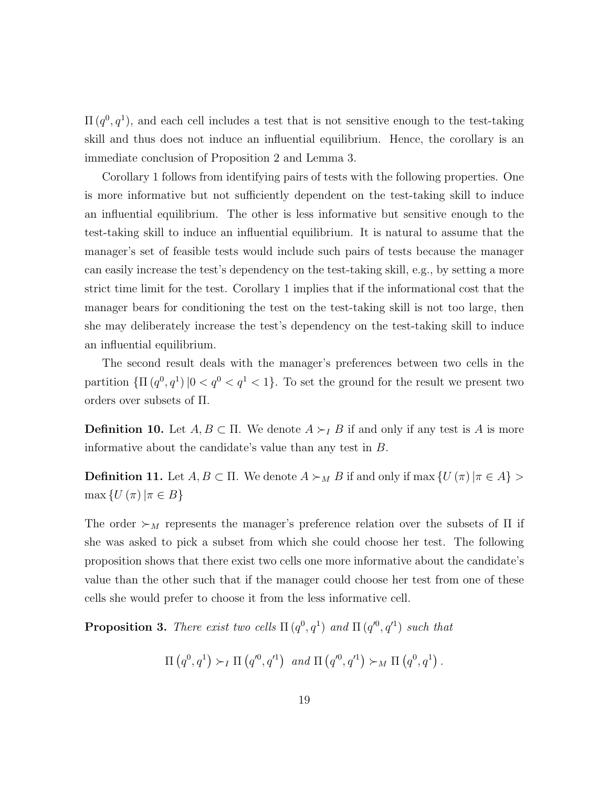$\Pi(q^0, q^1)$ , and each cell includes a test that is not sensitive enough to the test-taking skill and thus does not induce an influential equilibrium. Hence, the corollary is an immediate conclusion of Proposition 2 and Lemma 3.

Corollary 1 follows from identifying pairs of tests with the following properties. One is more informative but not sufficiently dependent on the test-taking skill to induce an influential equilibrium. The other is less informative but sensitive enough to the test-taking skill to induce an influential equilibrium. It is natural to assume that the manager's set of feasible tests would include such pairs of tests because the manager can easily increase the test's dependency on the test-taking skill, e.g., by setting a more strict time limit for the test. Corollary 1 implies that if the informational cost that the manager bears for conditioning the test on the test-taking skill is not too large, then she may deliberately increase the test's dependency on the test-taking skill to induce an influential equilibrium.

The second result deals with the manager's preferences between two cells in the partition  $\{\Pi(q^0, q^1) | 0 < q^0 < q^1 < 1\}$ . To set the ground for the result we present two orders over subsets of Π.

**Definition 10.** Let  $A, B \subset \Pi$ . We denote  $A \succ_I B$  if and only if any test is A is more informative about the candidate's value than any test in B.

**Definition 11.** Let  $A, B \subset \Pi$ . We denote  $A \succ_M B$  if and only if max  $\{U(\pi) | \pi \in A\}$  $\max \{U(\pi)|\pi \in B\}$ 

The order  $\succ_M$  represents the manager's preference relation over the subsets of  $\Pi$  if she was asked to pick a subset from which she could choose her test. The following proposition shows that there exist two cells one more informative about the candidate's value than the other such that if the manager could choose her test from one of these cells she would prefer to choose it from the less informative cell.

**Proposition 3.** There exist two cells  $\Pi(q^0, q^1)$  and  $\Pi(q'^0, q'^1)$  such that

 $\Pi(q^0, q^1) \succ_I \Pi(q'^0, q'^1)$  and  $\Pi(q'^0, q'^1) \succ_M \Pi(q^0, q^1)$ .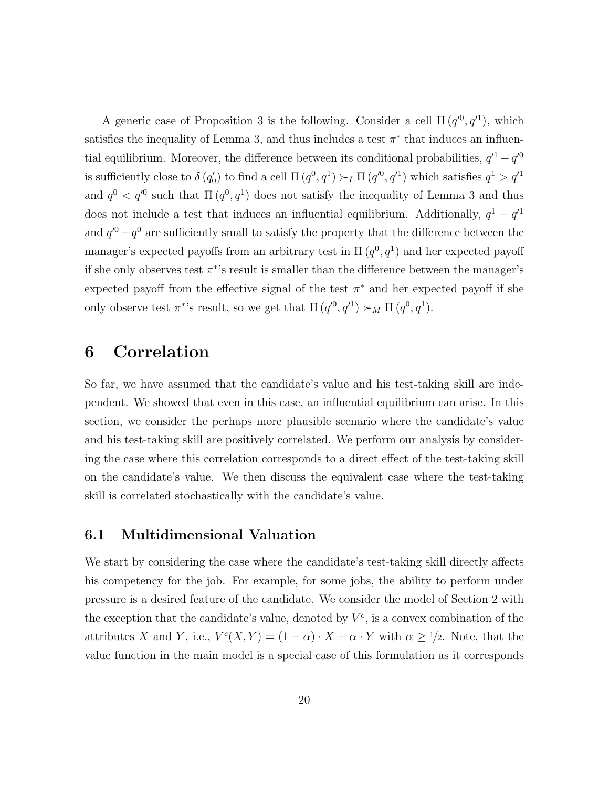A generic case of Proposition 3 is the following. Consider a cell  $\Pi(q^{0}, q^{1})$ , which satisfies the inequality of Lemma 3, and thus includes a test  $\pi^*$  that induces an influential equilibrium. Moreover, the difference between its conditional probabilities,  $q'^1 - q'^0$ is sufficiently close to  $\delta(q'_0)$  to find a cell  $\Pi(q^0, q^1) \succ_I \Pi(q'^0, q'^1)$  which satisfies  $q^1 > q'^1$ and  $q^0 < q'^0$  such that  $\Pi(q^0, q^1)$  does not satisfy the inequality of Lemma 3 and thus does not include a test that induces an influential equilibrium. Additionally,  $q^1 - q'^1$ and  $q^{0} - q^{0}$  are sufficiently small to satisfy the property that the difference between the manager's expected payoffs from an arbitrary test in  $\Pi(q^0, q^1)$  and her expected payoff if she only observes test  $\pi^*$ 's result is smaller than the difference between the manager's expected payoff from the effective signal of the test  $\pi^*$  and her expected payoff if she only observe test  $\pi^*$ 's result, so we get that  $\Pi(q^0, q^1) \succ_M \Pi(q^0, q^1)$ .

## 6 Correlation

So far, we have assumed that the candidate's value and his test-taking skill are independent. We showed that even in this case, an influential equilibrium can arise. In this section, we consider the perhaps more plausible scenario where the candidate's value and his test-taking skill are positively correlated. We perform our analysis by considering the case where this correlation corresponds to a direct effect of the test-taking skill on the candidate's value. We then discuss the equivalent case where the test-taking skill is correlated stochastically with the candidate's value.

### 6.1 Multidimensional Valuation

We start by considering the case where the candidate's test-taking skill directly affects his competency for the job. For example, for some jobs, the ability to perform under pressure is a desired feature of the candidate. We consider the model of Section 2 with the exception that the candidate's value, denoted by  $V^c$ , is a convex combination of the attributes X and Y, i.e.,  $V^{c}(X, Y) = (1 - \alpha) \cdot X + \alpha \cdot Y$  with  $\alpha \geq 1/2$ . Note, that the value function in the main model is a special case of this formulation as it corresponds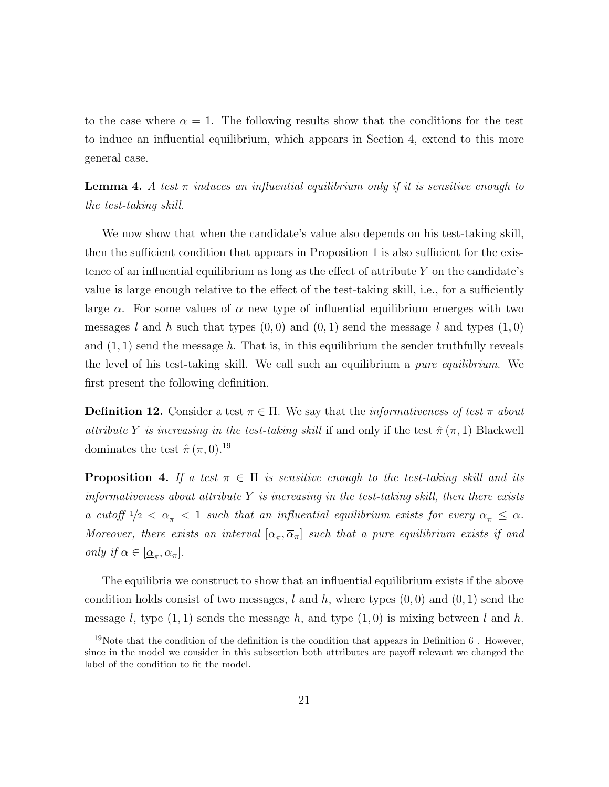to the case where  $\alpha = 1$ . The following results show that the conditions for the test to induce an influential equilibrium, which appears in Section 4, extend to this more general case.

**Lemma 4.** A test  $\pi$  induces an influential equilibrium only if it is sensitive enough to the test-taking skill.

We now show that when the candidate's value also depends on his test-taking skill, then the sufficient condition that appears in Proposition 1 is also sufficient for the existence of an influential equilibrium as long as the effect of attribute  $Y$  on the candidate's value is large enough relative to the effect of the test-taking skill, i.e., for a sufficiently large  $\alpha$ . For some values of  $\alpha$  new type of influential equilibrium emerges with two messages l and h such that types  $(0,0)$  and  $(0,1)$  send the message l and types  $(1,0)$ and  $(1, 1)$  send the message h. That is, in this equilibrium the sender truthfully reveals the level of his test-taking skill. We call such an equilibrium a pure equilibrium. We first present the following definition.

**Definition 12.** Consider a test  $\pi \in \Pi$ . We say that the *informativeness of test*  $\pi$  *about* attribute Y is increasing in the test-taking skill if and only if the test  $\hat{\pi}(\pi,1)$  Blackwell dominates the test  $\hat{\pi}(\pi,0).^{19}$ 

**Proposition 4.** If a test  $\pi \in \Pi$  is sensitive enough to the test-taking skill and its informativeness about attribute  $Y$  is increasing in the test-taking skill, then there exists a cutoff  $1/2 < \underline{\alpha}_{\pi} < 1$  such that an influential equilibrium exists for every  $\underline{\alpha}_{\pi} \leq \alpha$ . Moreover, there exists an interval  $[\underline{\alpha}_{\pi}, \overline{\alpha}_{\pi}]$  such that a pure equilibrium exists if and only if  $\alpha \in [\underline{\alpha}_{\pi}, \overline{\alpha}_{\pi}].$ 

The equilibria we construct to show that an influential equilibrium exists if the above condition holds consist of two messages, l and h, where types  $(0, 0)$  and  $(0, 1)$  send the message l, type  $(1, 1)$  sends the message h, and type  $(1, 0)$  is mixing between l and h.

<sup>&</sup>lt;sup>19</sup>Note that the condition of the definition is the condition that appears in Definition  $6$ . However, since in the model we consider in this subsection both attributes are payoff relevant we changed the label of the condition to fit the model.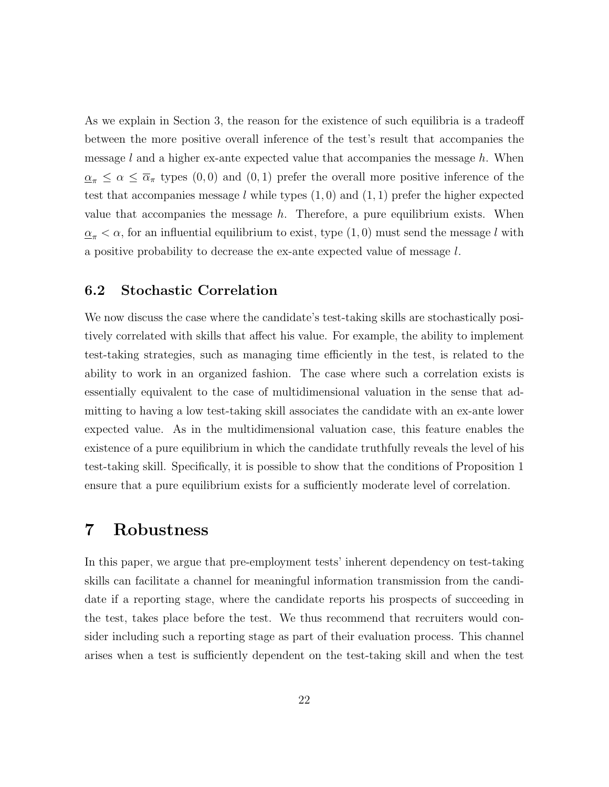As we explain in Section 3, the reason for the existence of such equilibria is a tradeoff between the more positive overall inference of the test's result that accompanies the message  $l$  and a higher ex-ante expected value that accompanies the message  $h$ . When  $\alpha_{\pi} \leq \alpha \leq \overline{\alpha}_{\pi}$  types  $(0,0)$  and  $(0,1)$  prefer the overall more positive inference of the test that accompanies message  $l$  while types  $(1, 0)$  and  $(1, 1)$  prefer the higher expected value that accompanies the message  $h$ . Therefore, a pure equilibrium exists. When  $\underline{\alpha}_{\pi} < \alpha$ , for an influential equilibrium to exist, type (1,0) must send the message l with a positive probability to decrease the ex-ante expected value of message l.

# 6.2 Stochastic Correlation

We now discuss the case where the candidate's test-taking skills are stochastically positively correlated with skills that affect his value. For example, the ability to implement test-taking strategies, such as managing time efficiently in the test, is related to the ability to work in an organized fashion. The case where such a correlation exists is essentially equivalent to the case of multidimensional valuation in the sense that admitting to having a low test-taking skill associates the candidate with an ex-ante lower expected value. As in the multidimensional valuation case, this feature enables the existence of a pure equilibrium in which the candidate truthfully reveals the level of his test-taking skill. Specifically, it is possible to show that the conditions of Proposition 1 ensure that a pure equilibrium exists for a sufficiently moderate level of correlation.

### 7 Robustness

In this paper, we argue that pre-employment tests' inherent dependency on test-taking skills can facilitate a channel for meaningful information transmission from the candidate if a reporting stage, where the candidate reports his prospects of succeeding in the test, takes place before the test. We thus recommend that recruiters would consider including such a reporting stage as part of their evaluation process. This channel arises when a test is sufficiently dependent on the test-taking skill and when the test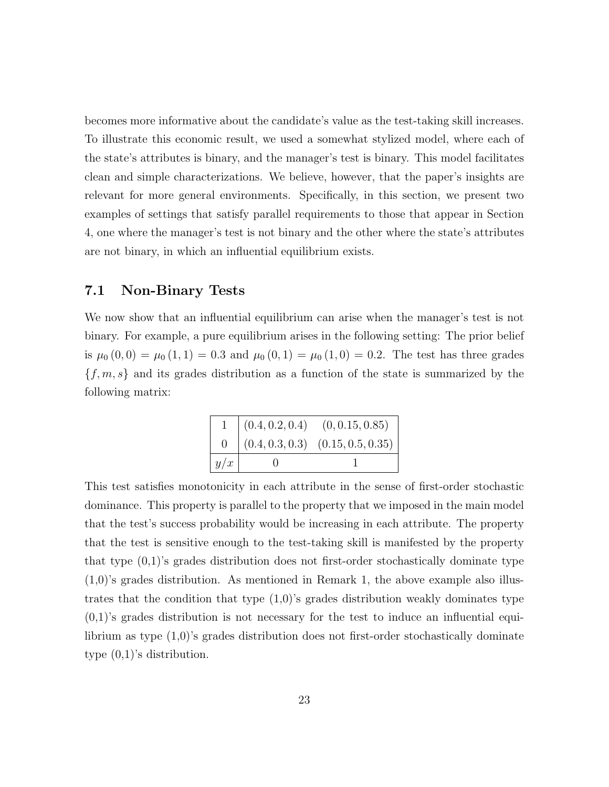becomes more informative about the candidate's value as the test-taking skill increases. To illustrate this economic result, we used a somewhat stylized model, where each of the state's attributes is binary, and the manager's test is binary. This model facilitates clean and simple characterizations. We believe, however, that the paper's insights are relevant for more general environments. Specifically, in this section, we present two examples of settings that satisfy parallel requirements to those that appear in Section 4, one where the manager's test is not binary and the other where the state's attributes are not binary, in which an influential equilibrium exists.

### 7.1 Non-Binary Tests

We now show that an influential equilibrium can arise when the manager's test is not binary. For example, a pure equilibrium arises in the following setting: The prior belief is  $\mu_0(0,0) = \mu_0(1,1) = 0.3$  and  $\mu_0(0,1) = \mu_0(1,0) = 0.2$ . The test has three grades  ${f, m, s}$  and its grades distribution as a function of the state is summarized by the following matrix:

|           | $(0.4, 0.2, 0.4)$ $(0, 0.15, 0.85)$   |
|-----------|---------------------------------------|
| $0 \quad$ | $(0.4, 0.3, 0.3)$ $(0.15, 0.5, 0.35)$ |
| y/x       |                                       |

This test satisfies monotonicity in each attribute in the sense of first-order stochastic dominance. This property is parallel to the property that we imposed in the main model that the test's success probability would be increasing in each attribute. The property that the test is sensitive enough to the test-taking skill is manifested by the property that type (0,1)'s grades distribution does not first-order stochastically dominate type  $(1,0)$ 's grades distribution. As mentioned in Remark 1, the above example also illustrates that the condition that type  $(1,0)$ 's grades distribution weakly dominates type  $(0,1)$ 's grades distribution is not necessary for the test to induce an influential equilibrium as type (1,0)'s grades distribution does not first-order stochastically dominate type (0,1)'s distribution.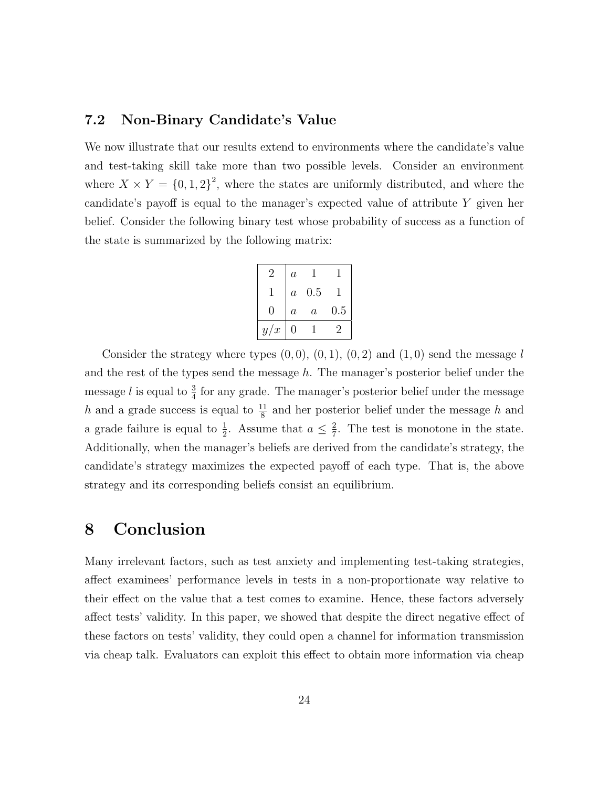### 7.2 Non-Binary Candidate's Value

We now illustrate that our results extend to environments where the candidate's value and test-taking skill take more than two possible levels. Consider an environment where  $X \times Y = \{0, 1, 2\}^2$ , where the states are uniformly distributed, and where the candidate's payoff is equal to the manager's expected value of attribute  $Y$  given her belief. Consider the following binary test whose probability of success as a function of the state is summarized by the following matrix:

|     | $\it a$          |                  |     |
|-----|------------------|------------------|-----|
|     | $\boldsymbol{a}$ | 0.5              |     |
| 0   | $\boldsymbol{a}$ | $\boldsymbol{a}$ | 0.5 |
| y/x | 0                |                  |     |

Consider the strategy where types  $(0, 0), (0, 1), (0, 2)$  and  $(1, 0)$  send the message l and the rest of the types send the message  $h$ . The manager's posterior belief under the message *l* is equal to  $\frac{3}{4}$  for any grade. The manager's posterior belief under the message h and a grade success is equal to  $\frac{11}{8}$  and her posterior belief under the message h and a grade failure is equal to  $\frac{1}{2}$ . Assume that  $a \leq \frac{2}{7}$  $\frac{2}{7}$ . The test is monotone in the state. Additionally, when the manager's beliefs are derived from the candidate's strategy, the candidate's strategy maximizes the expected payoff of each type. That is, the above strategy and its corresponding beliefs consist an equilibrium.

# 8 Conclusion

Many irrelevant factors, such as test anxiety and implementing test-taking strategies, affect examinees' performance levels in tests in a non-proportionate way relative to their effect on the value that a test comes to examine. Hence, these factors adversely affect tests' validity. In this paper, we showed that despite the direct negative effect of these factors on tests' validity, they could open a channel for information transmission via cheap talk. Evaluators can exploit this effect to obtain more information via cheap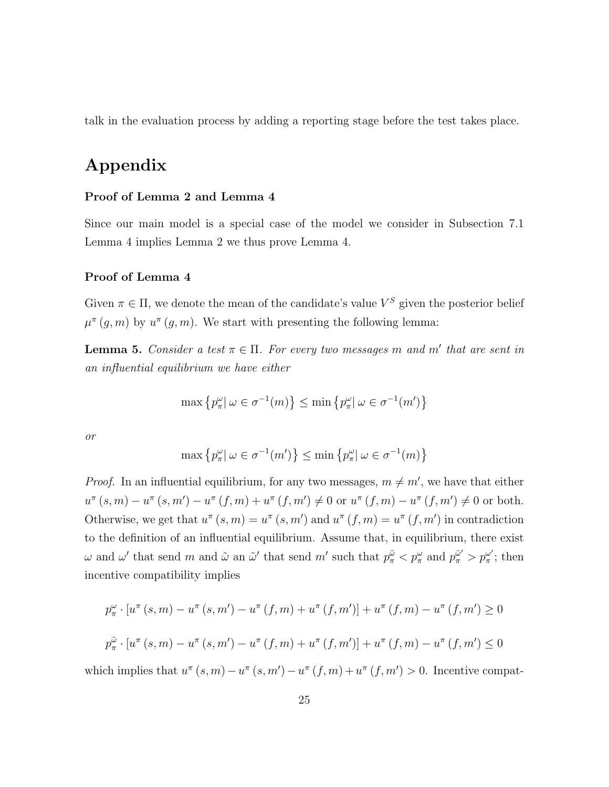talk in the evaluation process by adding a reporting stage before the test takes place.

# Appendix

#### Proof of Lemma 2 and Lemma 4

Since our main model is a special case of the model we consider in Subsection 7.1 Lemma 4 implies Lemma 2 we thus prove Lemma 4.

#### Proof of Lemma 4

Given  $\pi \in \Pi$ , we denote the mean of the candidate's value  $V^S$  given the posterior belief  $\mu^{\pi}(g,m)$  by  $u^{\pi}(g,m)$ . We start with presenting the following lemma:

**Lemma 5.** Consider a test  $\pi \in \Pi$ . For every two messages m and m' that are sent in an influential equilibrium we have either

$$
\max\left\{p_{\pi}^{\omega} \mid \omega \in \sigma^{-1}(m)\right\} \le \min\left\{p_{\pi}^{\omega} \mid \omega \in \sigma^{-1}(m')\right\}
$$

or

$$
\max\left\{p_{\pi}^{\omega}|\ \omega\in\sigma^{-1}(m')\right\}\leq\min\left\{p_{\pi}^{\omega}|\ \omega\in\sigma^{-1}(m)\right\}
$$

*Proof.* In an influential equilibrium, for any two messages,  $m \neq m'$ , we have that either  $u^{\pi}(s, m) - u^{\pi}(s, m') - u^{\pi}(f, m) + u^{\pi}(f, m') \neq 0$  or  $u^{\pi}(f, m) - u^{\pi}(f, m') \neq 0$  or both. Otherwise, we get that  $u^{\pi}(s, m) = u^{\pi}(s, m')$  and  $u^{\pi}(f, m) = u^{\pi}(f, m')$  in contradiction to the definition of an influential equilibrium. Assume that, in equilibrium, there exist  $\omega$  and  $\omega'$  that send m and  $\tilde{\omega}$  an  $\tilde{\omega}'$  that send m' such that  $p_{\pi}^{\tilde{\omega}} < p_{\pi}^{\omega}$  and  $p_{\pi}^{\tilde{\omega}'} > p_{\pi}^{\omega'}$  $_{\pi}^{\omega'}$ ; then incentive compatibility implies

$$
p_{\pi}^{\omega} \cdot [u^{\pi}(s, m) - u^{\pi}(s, m') - u^{\pi}(f, m) + u^{\pi}(f, m')] + u^{\pi}(f, m) - u^{\pi}(f, m') \ge 0
$$
  

$$
p_{\pi}^{\tilde{\omega}} \cdot [u^{\pi}(s, m) - u^{\pi}(s, m') - u^{\pi}(f, m) + u^{\pi}(f, m')] + u^{\pi}(f, m) - u^{\pi}(f, m') \le 0
$$

which implies that  $u^{\pi}(s, m) - u^{\pi}(s, m') - u^{\pi}(f, m) + u^{\pi}(f, m') > 0$ . Incentive compat-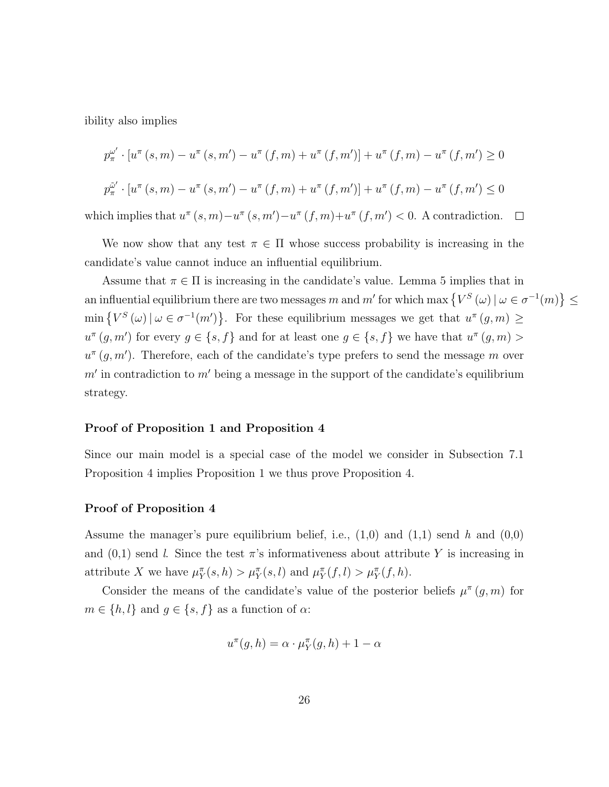ibility also implies

$$
p_{\pi}^{\omega'} \cdot [u^{\pi}(s, m) - u^{\pi}(s, m') - u^{\pi}(f, m) + u^{\pi}(f, m')] + u^{\pi}(f, m) - u^{\pi}(f, m') \ge 0
$$
  

$$
p_{\pi}^{\tilde{\omega}'} \cdot [u^{\pi}(s, m) - u^{\pi}(s, m') - u^{\pi}(f, m) + u^{\pi}(f, m')] + u^{\pi}(f, m) - u^{\pi}(f, m') \le 0
$$

which implies that  $u^{\pi}(s, m) - u^{\pi}(s, m') - u^{\pi}(f, m) + u^{\pi}(f, m') < 0$ . A contradiction.  $\Box$ 

We now show that any test  $\pi \in \Pi$  whose success probability is increasing in the candidate's value cannot induce an influential equilibrium.

Assume that  $\pi \in \Pi$  is increasing in the candidate's value. Lemma 5 implies that in an influential equilibrium there are two messages m and m' for which max  $\{V^S(\omega) | \omega \in \sigma^{-1}(m)\}\leq$  $\min \{ V^S(\omega) | \omega \in \sigma^{-1}(m) \}.$  For these equilibrium messages we get that  $u^{\pi}(g, m) \geq$  $u^{\pi}(g, m')$  for every  $g \in \{s, f\}$  and for at least one  $g \in \{s, f\}$  we have that  $u^{\pi}(g, m) >$  $u^{\pi}(g, m')$ . Therefore, each of the candidate's type prefers to send the message m over  $m'$  in contradiction to  $m'$  being a message in the support of the candidate's equilibrium strategy.

#### Proof of Proposition 1 and Proposition 4

Since our main model is a special case of the model we consider in Subsection 7.1 Proposition 4 implies Proposition 1 we thus prove Proposition 4.

#### Proof of Proposition 4

Assume the manager's pure equilibrium belief, i.e.,  $(1,0)$  and  $(1,1)$  send h and  $(0,0)$ and  $(0,1)$  send l. Since the test  $\pi$ 's informativeness about attribute Y is increasing in attribute X we have  $\mu_Y^{\pi}(s, h) > \mu_Y^{\pi}(s, l)$  and  $\mu_Y^{\pi}(f, l) > \mu_Y^{\pi}(f, h)$ .

Consider the means of the candidate's value of the posterior beliefs  $\mu^{\pi}(g, m)$  for  $m \in \{h, l\}$  and  $g \in \{s, f\}$  as a function of  $\alpha$ :

$$
u^{\pi}(g, h) = \alpha \cdot \mu_Y^{\pi}(g, h) + 1 - \alpha
$$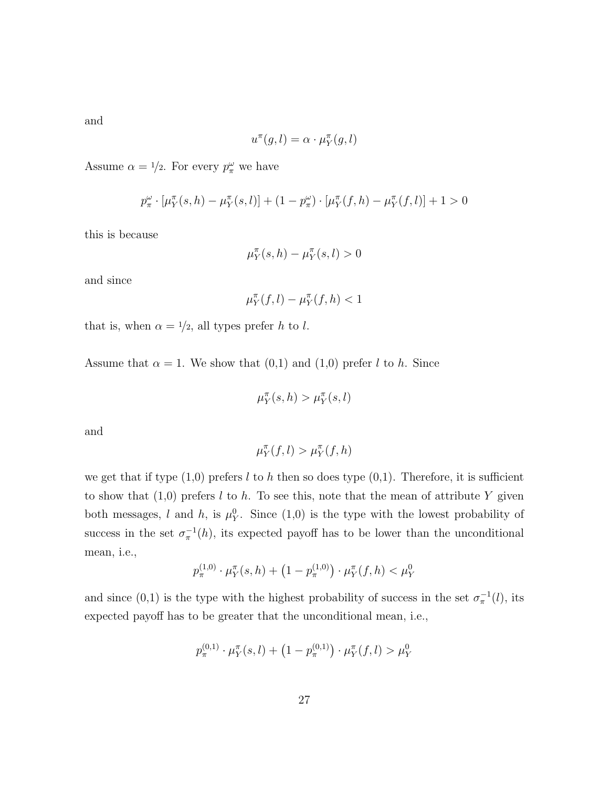and

$$
u^\pi(g,l) = \alpha \cdot \mu^\pi_Y(g,l)
$$

Assume  $\alpha = 1/2$ . For every  $p_{\pi}^{\omega}$  we have

$$
p_{\pi}^{\omega} \cdot [\mu_{Y}^{\pi}(s, h) - \mu_{Y}^{\pi}(s, l)] + (1 - p_{\pi}^{\omega}) \cdot [\mu_{Y}^{\pi}(f, h) - \mu_{Y}^{\pi}(f, l)] + 1 > 0
$$

this is because

$$
\mu_Y^\pi(s,h) - \mu_Y^\pi(s,l) > 0
$$

and since

$$
\mu_Y^{\pi}(f,l) - \mu_Y^{\pi}(f,h) < 1
$$

that is, when  $\alpha = \frac{1}{2}$ , all types prefer h to l.

Assume that  $\alpha = 1$ . We show that  $(0,1)$  and  $(1,0)$  prefer l to h. Since

$$
\mu_Y^{\pi}(s, h) > \mu_Y^{\pi}(s, l)
$$

and

$$
\mu_Y^{\pi}(f,l) > \mu_Y^{\pi}(f,h)
$$

we get that if type  $(1,0)$  prefers l to h then so does type  $(0,1)$ . Therefore, it is sufficient to show that  $(1,0)$  prefers l to h. To see this, note that the mean of attribute Y given both messages, l and h, is  $\mu_Y^0$ . Since (1,0) is the type with the lowest probability of success in the set  $\sigma_{\pi}^{-1}(h)$ , its expected payoff has to be lower than the unconditional mean, i.e.,

$$
p_{\pi}^{(1,0)} \cdot \mu_Y^{\pi}(s,h) + \left(1 - p_{\pi}^{(1,0)}\right) \cdot \mu_Y^{\pi}(f,h) < \mu_Y^0
$$

and since (0,1) is the type with the highest probability of success in the set  $\sigma_{\pi}^{-1}(l)$ , its expected payoff has to be greater that the unconditional mean, i.e.,

$$
p_{\pi}^{(0,1)} \cdot \mu_Y^{\pi}(s,l) + (1 - p_{\pi}^{(0,1)}) \cdot \mu_Y^{\pi}(f,l) > \mu_Y^0
$$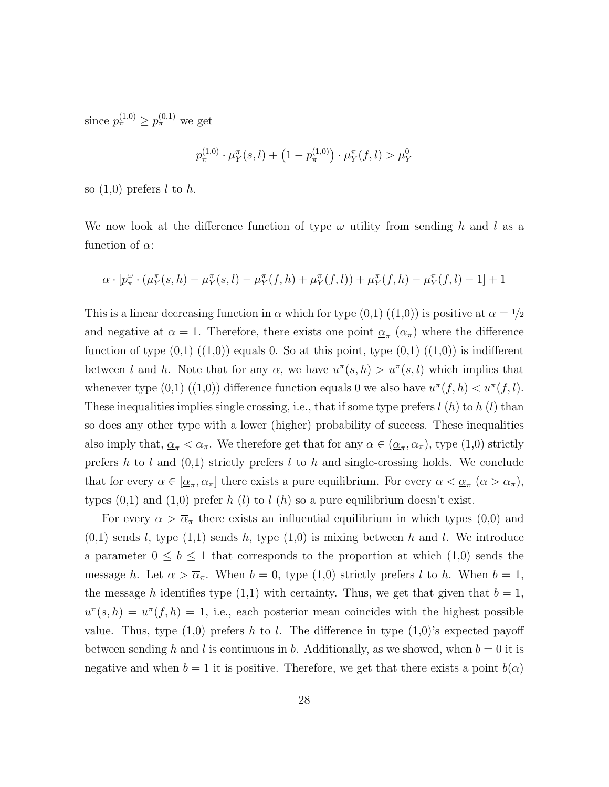since  $p_{\pi}^{(1,0)} \ge p_{\pi}^{(0,1)}$  we get

$$
p_{\pi}^{(1,0)} \cdot \mu_Y^{\pi}(s,l) + (1 - p_{\pi}^{(1,0)}) \cdot \mu_Y^{\pi}(f,l) > \mu_Y^0
$$

so  $(1,0)$  prefers l to h.

We now look at the difference function of type  $\omega$  utility from sending h and l as a function of  $\alpha$ :

$$
\alpha \cdot [p_\pi^\omega \cdot (\mu_Y^\pi(s,h) - \mu_Y^\pi(s,l) - \mu_Y^\pi(f,h) + \mu_Y^\pi(f,l)) + \mu_Y^\pi(f,h) - \mu_Y^\pi(f,l) - 1] + 1
$$

This is a linear decreasing function in  $\alpha$  which for type  $(0,1)$   $((1,0))$  is positive at  $\alpha = \frac{1}{2}$ and negative at  $\alpha = 1$ . Therefore, there exists one point  $\underline{\alpha}_{\pi}(\overline{\alpha}_{\pi})$  where the difference function of type  $(0,1)$   $((1,0))$  equals 0. So at this point, type  $(0,1)$   $((1,0))$  is indifferent between l and h. Note that for any  $\alpha$ , we have  $u^{\pi}(s,h) > u^{\pi}(s,l)$  which implies that whenever type  $(0,1)$   $((1,0))$  difference function equals 0 we also have  $u^{\pi}(f, h) < u^{\pi}(f, l)$ . These inequalities implies single crossing, i.e., that if some type prefers  $l(h)$  to  $h(l)$  than so does any other type with a lower (higher) probability of success. These inequalities also imply that,  $\underline{\alpha}_{\pi} < \overline{\alpha}_{\pi}$ . We therefore get that for any  $\alpha \in (\underline{\alpha}_{\pi}, \overline{\alpha}_{\pi})$ , type  $(1,0)$  strictly prefers h to l and  $(0,1)$  strictly prefers l to h and single-crossing holds. We conclude that for every  $\alpha \in [\underline{\alpha}_{\pi}, \overline{\alpha}_{\pi}]$  there exists a pure equilibrium. For every  $\alpha < \underline{\alpha}_{\pi}$   $(\alpha > \overline{\alpha}_{\pi})$ , types  $(0,1)$  and  $(1,0)$  prefer h (l) to l (h) so a pure equilibrium doesn't exist.

For every  $\alpha > \overline{\alpha}_{\pi}$  there exists an influential equilibrium in which types (0,0) and  $(0,1)$  sends l, type  $(1,1)$  sends h, type  $(1,0)$  is mixing between h and l. We introduce a parameter  $0 \leq b \leq 1$  that corresponds to the proportion at which  $(1,0)$  sends the message h. Let  $\alpha > \overline{\alpha}_{\pi}$ . When  $b = 0$ , type  $(1,0)$  strictly prefers l to h. When  $b = 1$ , the message h identifies type  $(1,1)$  with certainty. Thus, we get that given that  $b = 1$ ,  $u^{\pi}(s,h) = u^{\pi}(f,h) = 1$ , i.e., each posterior mean coincides with the highest possible value. Thus, type  $(1,0)$  prefers h to l. The difference in type  $(1,0)$ 's expected payoff between sending h and l is continuous in b. Additionally, as we showed, when  $b = 0$  it is negative and when  $b = 1$  it is positive. Therefore, we get that there exists a point  $b(\alpha)$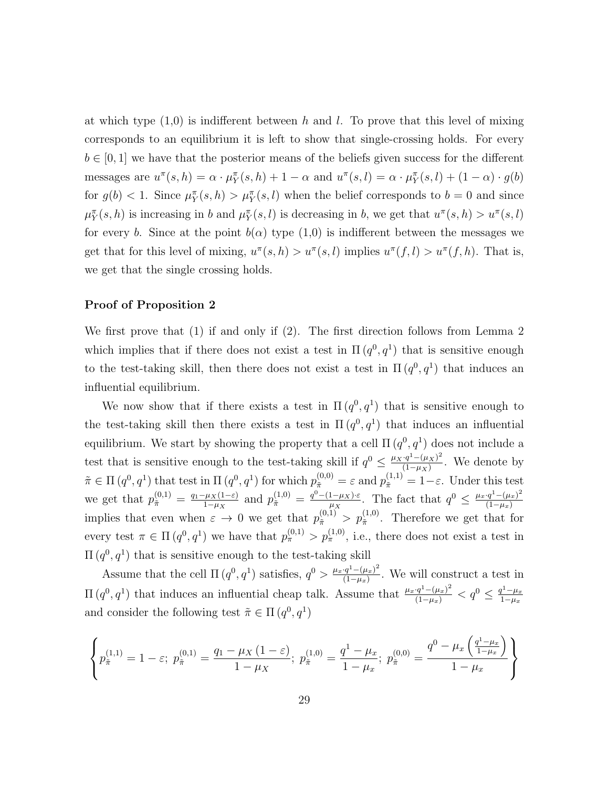at which type  $(1,0)$  is indifferent between h and l. To prove that this level of mixing corresponds to an equilibrium it is left to show that single-crossing holds. For every  $b \in [0, 1]$  we have that the posterior means of the beliefs given success for the different messages are  $u^{\pi}(s, h) = \alpha \cdot \mu_Y^{\pi}(s, h) + 1 - \alpha$  and  $u^{\pi}(s, l) = \alpha \cdot \mu_Y^{\pi}(s, l) + (1 - \alpha) \cdot g(b)$ for  $g(b) < 1$ . Since  $\mu_Y^{\pi}(s, h) > \mu_Y^{\pi}(s, l)$  when the belief corresponds to  $b = 0$  and since  $\mu_Y^{\pi}(s, h)$  is increasing in b and  $\mu_Y^{\pi}(s, l)$  is decreasing in b, we get that  $u^{\pi}(s, h) > u^{\pi}(s, l)$ for every b. Since at the point  $b(\alpha)$  type  $(1,0)$  is indifferent between the messages we get that for this level of mixing,  $u^{\pi}(s, h) > u^{\pi}(s, l)$  implies  $u^{\pi}(f, l) > u^{\pi}(f, h)$ . That is, we get that the single crossing holds.

#### Proof of Proposition 2

We first prove that (1) if and only if (2). The first direction follows from Lemma 2 which implies that if there does not exist a test in  $\Pi(q^0, q^1)$  that is sensitive enough to the test-taking skill, then there does not exist a test in  $\Pi(q^0, q^1)$  that induces an influential equilibrium.

We now show that if there exists a test in  $\Pi(q^0, q^1)$  that is sensitive enough to the test-taking skill then there exists a test in  $\Pi(q^0, q^1)$  that induces an influential equilibrium. We start by showing the property that a cell  $\Pi(q^0, q^1)$  does not include a test that is sensitive enough to the test-taking skill if  $q^0 \n\t\leq \frac{\mu_X \cdot q^1 - (\mu_X)^2}{(1-\mu_X)^2}$  $\frac{q^2 - (\mu_X)^2}{(1 - \mu_X)}$ . We denote by  $\tilde{\pi} \in \Pi(q^0, q^1)$  that test in  $\Pi(q^0, q^1)$  for which  $p_{\tilde{\pi}}^{(0,0)} = \varepsilon$  and  $p_{\tilde{\pi}}^{(1,1)} = 1 - \varepsilon$ . Under this test we get that  $p_{\tilde{\pi}}^{(0,1)} = \frac{q_1 - \mu_X(1-\varepsilon)}{1-\mu_X}$  $\frac{\mu_X(1-\varepsilon)}{1-\mu_X}$  and  $p_{\tilde{\pi}}^{(1,0)} = \frac{q^0 - (1-\mu_X)\cdot \varepsilon}{\mu_X}$  $\frac{1-\mu_X\cdot \varepsilon}{\mu_X}$ . The fact that  $q^0 \leq \frac{\mu_x \cdot q^1-(\mu_x)^2}{(1-\mu_x)^2}$  $(1-\mu_x)$ implies that even when  $\varepsilon \to 0$  we get that  $p_{\tilde{\pi}}^{(0,1)} > p_{\tilde{\pi}}^{(1,0)}$ . Therefore we get that for every test  $\pi \in \Pi(q^0, q^1)$  we have that  $p_{\pi}^{(0,1)} > p_{\pi}^{(1,0)}$ , i.e., there does not exist a test in  $\Pi(q^0, q^1)$  that is sensitive enough to the test-taking skill

Assume that the cell  $\Pi(q^0, q^1)$  satisfies,  $q^0 > \frac{\mu_x \cdot q^1 - (\mu_x)^2}{(1 - \mu_x)^2}$  $\frac{(q^2 - (\mu_x)^2)}{(1 - \mu_x)}$ . We will construct a test in  $\Pi(q^0, q^1)$  that induces an influential cheap talk. Assume that  $\frac{\mu_x \cdot q^1 - (\mu_x)^2}{(1 - \mu_x)} < q^0 \leq \frac{q^1 - \mu_x}{1 - \mu_x}$  $1-\mu_x$ and consider the following test  $\tilde{\pi} \in \Pi(q^0, q^1)$ 

$$
\left\{ p_{\tilde{\pi}}^{(1,1)} = 1 - \varepsilon; \ p_{\tilde{\pi}}^{(0,1)} = \frac{q_1 - \mu_X (1 - \varepsilon)}{1 - \mu_X}; \ p_{\tilde{\pi}}^{(1,0)} = \frac{q^1 - \mu_x}{1 - \mu_x}; \ p_{\tilde{\pi}}^{(0,0)} = \frac{q^0 - \mu_x \left(\frac{q^1 - \mu_x}{1 - \mu_x}\right)}{1 - \mu_x} \right\}
$$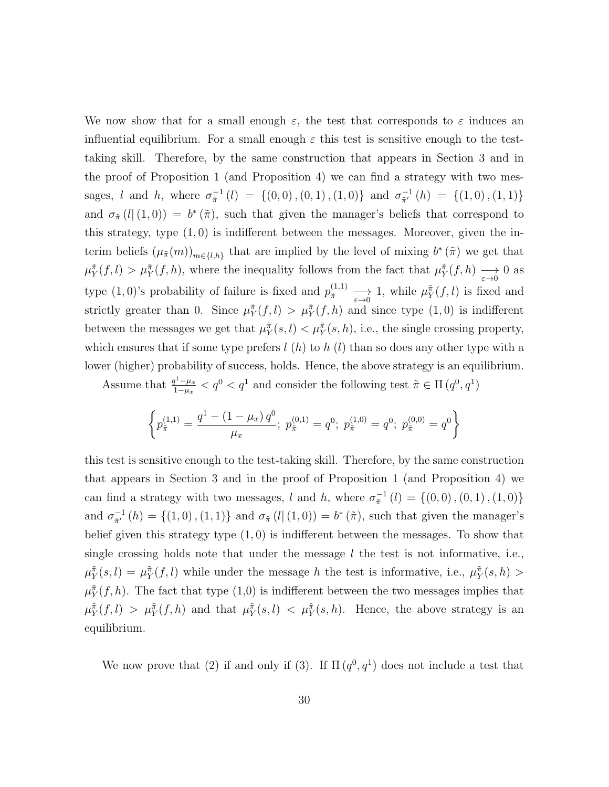We now show that for a small enough  $\varepsilon$ , the test that corresponds to  $\varepsilon$  induces an influential equilibrium. For a small enough  $\varepsilon$  this test is sensitive enough to the testtaking skill. Therefore, by the same construction that appears in Section 3 and in the proof of Proposition 1 (and Proposition 4) we can find a strategy with two messages, l and h, where  $\sigma_{\tilde{\pi}}^{-1}$  $\pi^{-1}(l) = \{ (0,0), (0,1), (1,0) \}$  and  $\sigma_{\tilde{\pi}'}^{-1}$  $\frac{-1}{\tilde{\pi}'}(h) = \{(1,0), (1,1)\}\$ and  $\sigma_{\tilde{\pi}}(l|(1,0)) = b^*(\tilde{\pi})$ , such that given the manager's beliefs that correspond to this strategy, type  $(1,0)$  is indifferent between the messages. Moreover, given the interim beliefs  $(\mu_{\tilde{\pi}}(m))_{m \in \{l,h\}}$  that are implied by the level of mixing  $b^*(\tilde{\pi})$  we get that  $\mu_Y^{\tilde{\pi}}(f, l) > \mu_Y^{\tilde{\pi}}(f, h)$ , where the inequality follows from the fact that  $\mu_Y^{\tilde{\pi}}(f, h) \longrightarrow 0$  as type  $(1,0)$ 's probability of failure is fixed and  $p_{\tilde{\pi}}^{(1,1)} \longrightarrow_{\varepsilon \to 0} 1$ , while  $\mu_{Y}^{\tilde{\pi}}(f,l)$  is fixed and strictly greater than 0. Since  $\mu_Y^{\pi}(f, l) > \mu_Y^{\pi}(f, h)$  and since type  $(1, 0)$  is indifferent between the messages we get that  $\mu_Y^{\pi}(s, l) < \mu_Y^{\pi}(s, h)$ , i.e., the single crossing property, which ensures that if some type prefers  $l(h)$  to  $h(l)$  than so does any other type with a lower (higher) probability of success, holds. Hence, the above strategy is an equilibrium.

Assume that  $\frac{q^1-\mu_x}{1-\mu_x}$  $\frac{q^{1}-\mu_{x}}{1-\mu_{x}} < q^{0} < q^{1}$  and consider the following test  $\tilde{\pi} \in \Pi(q^{0}, q^{1})$ 

$$
\left\{ p_{\tilde{\pi}}^{(1,1)} = \frac{q^1 - (1 - \mu_x) q^0}{\mu_x}; \ p_{\tilde{\pi}}^{(0,1)} = q^0; \ p_{\tilde{\pi}}^{(1,0)} = q^0; \ p_{\tilde{\pi}}^{(0,0)} = q^0 \right\}
$$

this test is sensitive enough to the test-taking skill. Therefore, by the same construction that appears in Section 3 and in the proof of Proposition 1 (and Proposition 4) we can find a strategy with two messages, l and h, where  $\sigma_{\tilde{\pi}}^{-1}$  $_{\tilde{\pi}}^{-1}\left( l\right) =\left\{ \left( 0,0\right) ,\left( 0,1\right) ,\left( 1,0\right) \right\}$ and  $\sigma_{\tilde{\pi}'}^{-1}$  $_{\tilde{\pi}'}^{-1}(h) = \{(1,0), (1,1)\}\$ and  $\sigma_{\tilde{\pi}}(l|(1,0)) = b^*(\tilde{\pi})$ , such that given the manager's belief given this strategy type  $(1,0)$  is indifferent between the messages. To show that single crossing holds note that under the message  $l$  the test is not informative, i.e.,  $\mu_Y^{\tilde{\pi}}(s,l) = \mu_Y^{\tilde{\pi}}(f,l)$  while under the message h the test is informative, i.e.,  $\mu_Y^{\tilde{\pi}}(s,h)$  $\mu_Y^{\tilde{\pi}}(f, h)$ . The fact that type  $(1,0)$  is indifferent between the two messages implies that  $\mu_Y^{\tilde{\pi}}(f, l) > \mu_Y^{\tilde{\pi}}(f, h)$  and that  $\mu_Y^{\tilde{\pi}}(s, l) < \mu_Y^{\tilde{\pi}}(s, h)$ . Hence, the above strategy is an equilibrium.

We now prove that (2) if and only if (3). If  $\Pi(q^0, q^1)$  does not include a test that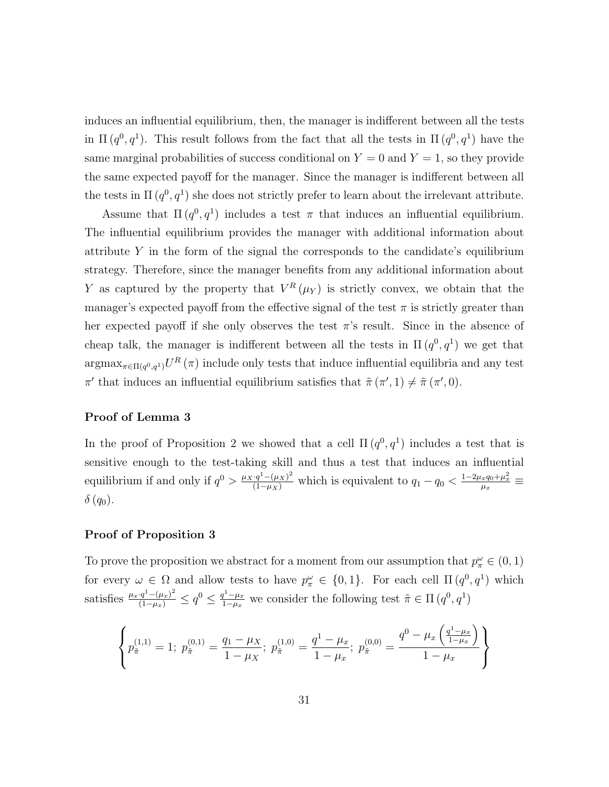induces an influential equilibrium, then, the manager is indifferent between all the tests in  $\Pi(q^0, q^1)$ . This result follows from the fact that all the tests in  $\Pi(q^0, q^1)$  have the same marginal probabilities of success conditional on  $Y = 0$  and  $Y = 1$ , so they provide the same expected payoff for the manager. Since the manager is indifferent between all the tests in  $\Pi(q^0, q^1)$  she does not strictly prefer to learn about the irrelevant attribute.

Assume that  $\Pi(q^0, q^1)$  includes a test  $\pi$  that induces an influential equilibrium. The influential equilibrium provides the manager with additional information about attribute  $Y$  in the form of the signal the corresponds to the candidate's equilibrium strategy. Therefore, since the manager benefits from any additional information about Y as captured by the property that  $V^R(\mu_Y)$  is strictly convex, we obtain that the manager's expected payoff from the effective signal of the test  $\pi$  is strictly greater than her expected payoff if she only observes the test  $\pi$ 's result. Since in the absence of cheap talk, the manager is indifferent between all the tests in  $\Pi(q^0, q^1)$  we get that  $\arg\max_{\pi \in \Pi(q^0, q^1)} U^R(\pi)$  include only tests that induce influential equilibria and any test  $\pi'$  that induces an influential equilibrium satisfies that  $\tilde{\pi}(\pi', 1) \neq \tilde{\pi}(\pi', 0)$ .

#### Proof of Lemma 3

In the proof of Proposition 2 we showed that a cell  $\Pi(q^0, q^1)$  includes a test that is sensitive enough to the test-taking skill and thus a test that induces an influential equilibrium if and only if  $q^0 > \frac{\mu_X \cdot q^1 - (\mu_X)^2}{(1-\mu_X)}$  which is equivalent to  $q_1 - q_0 < \frac{1-2\mu_x q_0 + \mu_x^2}{\mu_x} \equiv$  $\delta(q_0)$ .

#### Proof of Proposition 3

To prove the proposition we abstract for a moment from our assumption that  $p_{\pi}^{\omega} \in (0,1)$ for every  $\omega \in \Omega$  and allow tests to have  $p_{\pi}^{\omega} \in \{0,1\}$ . For each cell  $\Pi(q^0, q^1)$  which satisfies  $\frac{\mu_x \cdot q^1 - (\mu_x)^2}{(1 - \mu_x)} \le q^0 \le \frac{q^1 - \mu_x}{1 - \mu_x}$  $\frac{q^{1}-\mu_{x}}{1-\mu_{x}}$  we consider the following test  $\tilde{\pi} \in \Pi(q^{0}, q^{1})$ 

$$
\left\{ p_{\tilde{\pi}}^{(1,1)} = 1; \ p_{\tilde{\pi}}^{(0,1)} = \frac{q_1 - \mu_X}{1 - \mu_X}; \ p_{\tilde{\pi}}^{(1,0)} = \frac{q^1 - \mu_x}{1 - \mu_x}; \ p_{\tilde{\pi}}^{(0,0)} = \frac{q^0 - \mu_x \left(\frac{q^1 - \mu_x}{1 - \mu_x}\right)}{1 - \mu_x} \right\}
$$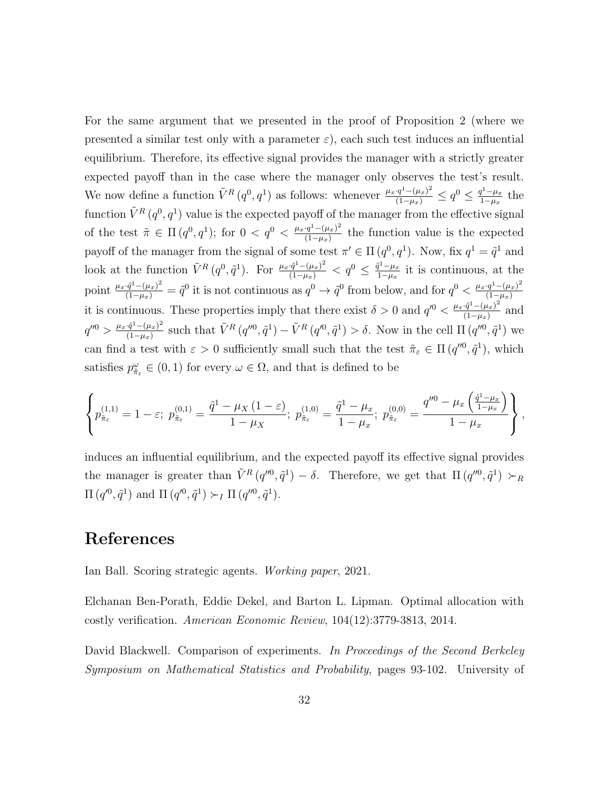For the same argument that we presented in the proof of Proposition 2 (where we presented a similar test only with a parameter  $\varepsilon$ ), each such test induces an influential equilibrium. Therefore, its effective signal provides the manager with a strictly greater expected payoff than in the case where the manager only observes the test's result. We now define a function  $\tilde{V}^R(q^0, q^1)$  as follows: whenever  $\frac{\mu_x \cdot q^1 - (\mu_x)^2}{(1 - \mu_x)} \leq q^0 \leq \frac{q^1 - \mu_x}{1 - \mu_x}$  $\frac{q^2 - \mu_x}{1 - \mu_x}$  the function  $\tilde{V}^R(q^0, q^1)$  value is the expected payoff of the manager from the effective signal of the test  $\tilde{\pi} \in \Pi(q^0, q^1)$ ; for  $0 < q^0 < \frac{\mu_x q^1 - (\mu_x)^2}{(1 - \mu_x)^2}$  $\frac{q^2 - (\mu_x)}{(1 - \mu_x)}$  the function value is the expected payoff of the manager from the signal of some test  $\pi' \in \Pi(q^0, q^1)$ . Now, fix  $q^1 = \tilde{q}^1$  and look at the function  $\tilde{V}^R(q^0, \tilde{q}^1)$ . For  $\frac{\mu_x \cdot \tilde{q}^1 - (\mu_x)^2}{(1 - \mu_x)} < q^0 \leq \frac{\tilde{q}^1 - \mu_x}{1 - \mu_x}$  $\frac{t^2 - \mu_x}{1 - \mu_x}$  it is continuous, at the point  $\frac{\mu_x \cdot \tilde{q}^1 - (\mu_x)^2}{(1-\mu_x)} = \tilde{q}^0$  it is not continuous as  $q^0 \to \tilde{q}^0$  from below, and for  $q^0 < \frac{\mu_x \cdot q^1 - (\mu_x)^2}{(1-\mu_x)}$  $(1-\mu_x)$ it is continuous. These properties imply that there exist  $\delta > 0$  and  $q'^0 < \frac{\mu_x \cdot \tilde{q}^1 - (\mu_x)^2}{(1 - \mu_x)^2}$  $\frac{(q^2-(\mu_x))^2}{(1-\mu_x)}$  and  $q''^0 > \frac{\mu_x \cdot \tilde{q}^1 - (\mu_x)^2}{(1-\mu_x)^2}$  $\frac{(\tilde{q}^{1}-(\mu_{x}))^{2}}{(1-\mu_{x})}$  such that  $\tilde{V}^{R}(q''^{0}, \tilde{q}^{1}) - \tilde{V}^{R}(q''^{0}, \tilde{q}^{1}) > \delta$ . Now in the cell  $\Pi(q''^{0}, \tilde{q}^{1})$  we can find a test with  $\varepsilon > 0$  sufficiently small such that the test  $\tilde{\pi}_{\varepsilon} \in \Pi(q''^0, \tilde{q}^1)$ , which satisfies  $p_{\tilde{\pi}_{\varepsilon}}^{\omega} \in (0, 1)$  for every  $\omega \in \Omega$ , and that is defined to be

$$
\left\{ p_{\tilde{\pi}_{\varepsilon}}^{(1,1)} = 1 - \varepsilon; \ p_{\tilde{\pi}_{\varepsilon}}^{(0,1)} = \frac{\tilde{q}^1 - \mu_X (1-\varepsilon)}{1-\mu_X}; \ p_{\tilde{\pi}_{\varepsilon}}^{(1,0)} = \frac{\tilde{q}^1 - \mu_x}{1-\mu_x}; \ p_{\tilde{\pi}_{\varepsilon}}^{(0,0)} = \frac{q''^0 - \mu_x \left( \frac{\tilde{q}^1 - \mu_x}{1-\mu_x} \right)}{1-\mu_x} \right\},
$$

induces an influential equilibrium, and the expected payoff its effective signal provides the manager is greater than  $\tilde{V}^R(q^{\prime\prime 0}, \tilde{q}^1) - \delta$ . Therefore, we get that  $\Pi(q^{\prime\prime 0}, \tilde{q}^1) \succ_R$  $\Pi(q^{0}, \tilde{q}^{1})$  and  $\Pi(q^{0}, \tilde{q}^{1}) \succ_I \Pi(q^{00}, \tilde{q}^{1}).$ 

# References

Ian Ball. Scoring strategic agents. Working paper, 2021.

Elchanan Ben-Porath, Eddie Dekel, and Barton L. Lipman. Optimal allocation with costly verification. American Economic Review, 104(12):3779-3813, 2014.

David Blackwell. Comparison of experiments. In Proceedings of the Second Berkeley Symposium on Mathematical Statistics and Probability, pages 93-102. University of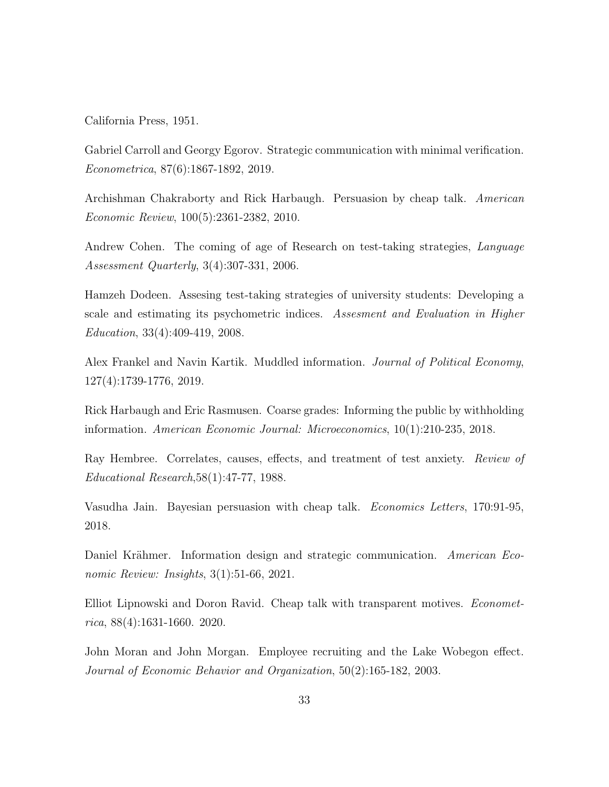California Press, 1951.

Gabriel Carroll and Georgy Egorov. Strategic communication with minimal verification. Econometrica, 87(6):1867-1892, 2019.

Archishman Chakraborty and Rick Harbaugh. Persuasion by cheap talk. American Economic Review, 100(5):2361-2382, 2010.

Andrew Cohen. The coming of age of Research on test-taking strategies, Language Assessment Quarterly, 3(4):307-331, 2006.

Hamzeh Dodeen. Assesing test-taking strategies of university students: Developing a scale and estimating its psychometric indices. Assesment and Evaluation in Higher Education, 33(4):409-419, 2008.

Alex Frankel and Navin Kartik. Muddled information. Journal of Political Economy, 127(4):1739-1776, 2019.

Rick Harbaugh and Eric Rasmusen. Coarse grades: Informing the public by withholding information. American Economic Journal: Microeconomics, 10(1):210-235, 2018.

Ray Hembree. Correlates, causes, effects, and treatment of test anxiety. Review of Educational Research,58(1):47-77, 1988.

Vasudha Jain. Bayesian persuasion with cheap talk. Economics Letters, 170:91-95, 2018.

Daniel Krähmer. Information design and strategic communication. American Economic Review: Insights, 3(1):51-66, 2021.

Elliot Lipnowski and Doron Ravid. Cheap talk with transparent motives. Econometrica, 88(4):1631-1660. 2020.

John Moran and John Morgan. Employee recruiting and the Lake Wobegon effect. Journal of Economic Behavior and Organization, 50(2):165-182, 2003.